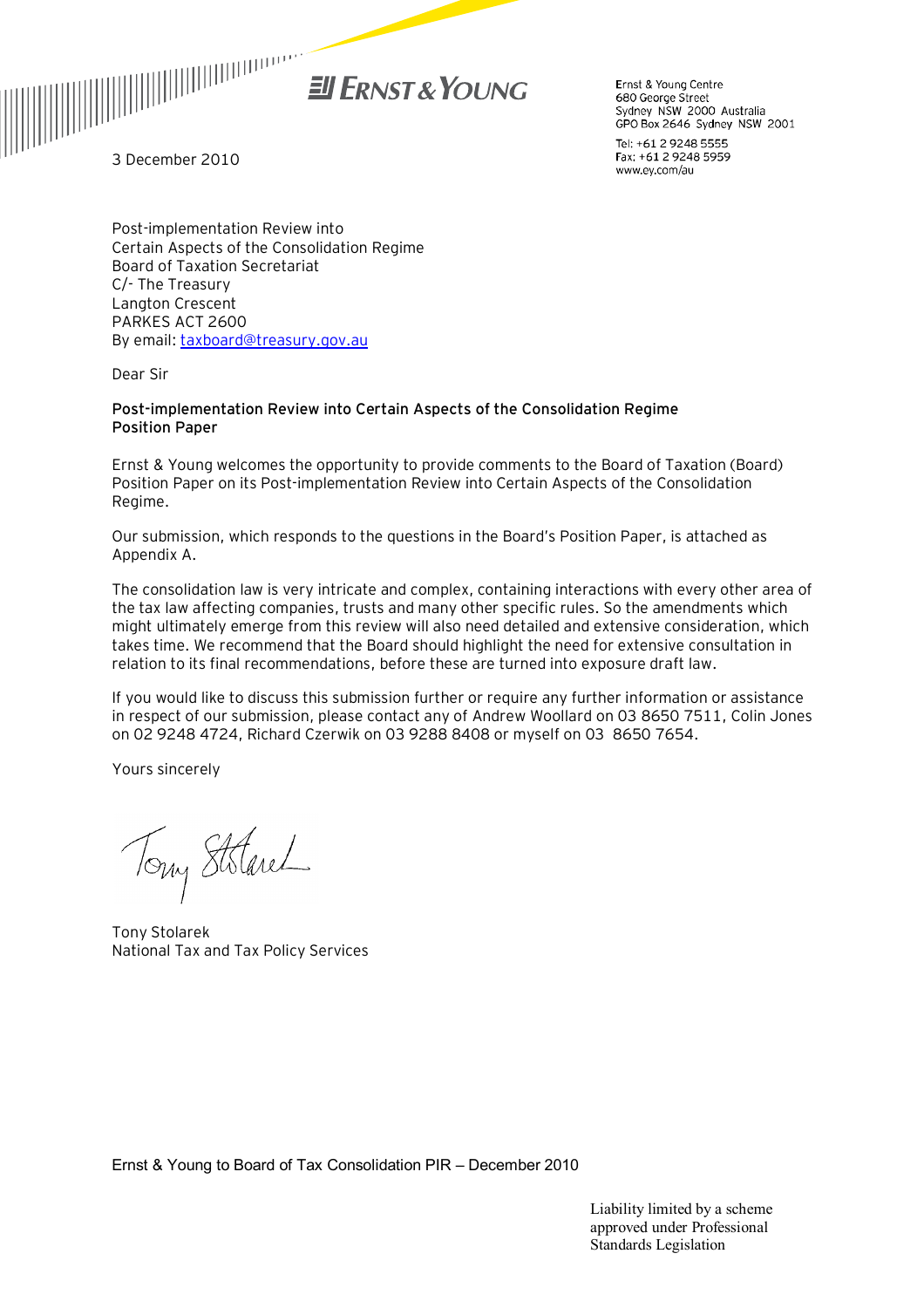

Ernst & Young Centre 680 George Street Sydney NSW 2000 Australia GPO Box 2646 Sydney NSW 2001

Tel: +61 2 9248 5555 Fax: +61 2 9248 5959 www.ey.com/au

3 December 2010

Post-implementation Review into Certain Aspects of the Consolidation Regime Board of Taxation Secretariat C/- The Treasury Langton Crescent PARKES ACT 2600 By email: [taxboard@treasury.gov.au](mailto:taxboard@treasury.gov.au)

Dear Sir

#### **Post-implementation Review into Certain Aspects of the Consolidation Regime Position Paper**

Ernst & Young welcomes the opportunity to provide comments to the Board of Taxation (Board) Position Paper on its Post-implementation Review into Certain Aspects of the Consolidation Regime.

Our submission, which responds to the questions in the Board's Position Paper, is attached as Appendix A.

The consolidation law is very intricate and complex, containing interactions with every other area of the tax law affecting companies, trusts and many other specific rules. So the amendments which might ultimately emerge from this review will also need detailed and extensive consideration, which takes time. We recommend that the Board should highlight the need for extensive consultation in relation to its final recommendations, before these are turned into exposure draft law.

If you would like to discuss this submission further or require any further information or assistance in respect of our submission, please contact any of Andrew Woollard on 03 8650 7511, Colin Jones on 02 9248 4724, Richard Czerwik on 03 9288 8408 or myself on 03 8650 7654.

Yours sincerely

Tony Stolarel

Tony Stolarek National Tax and Tax Policy Services

Ernst & Young to Board of Tax Consolidation PIR – December 2010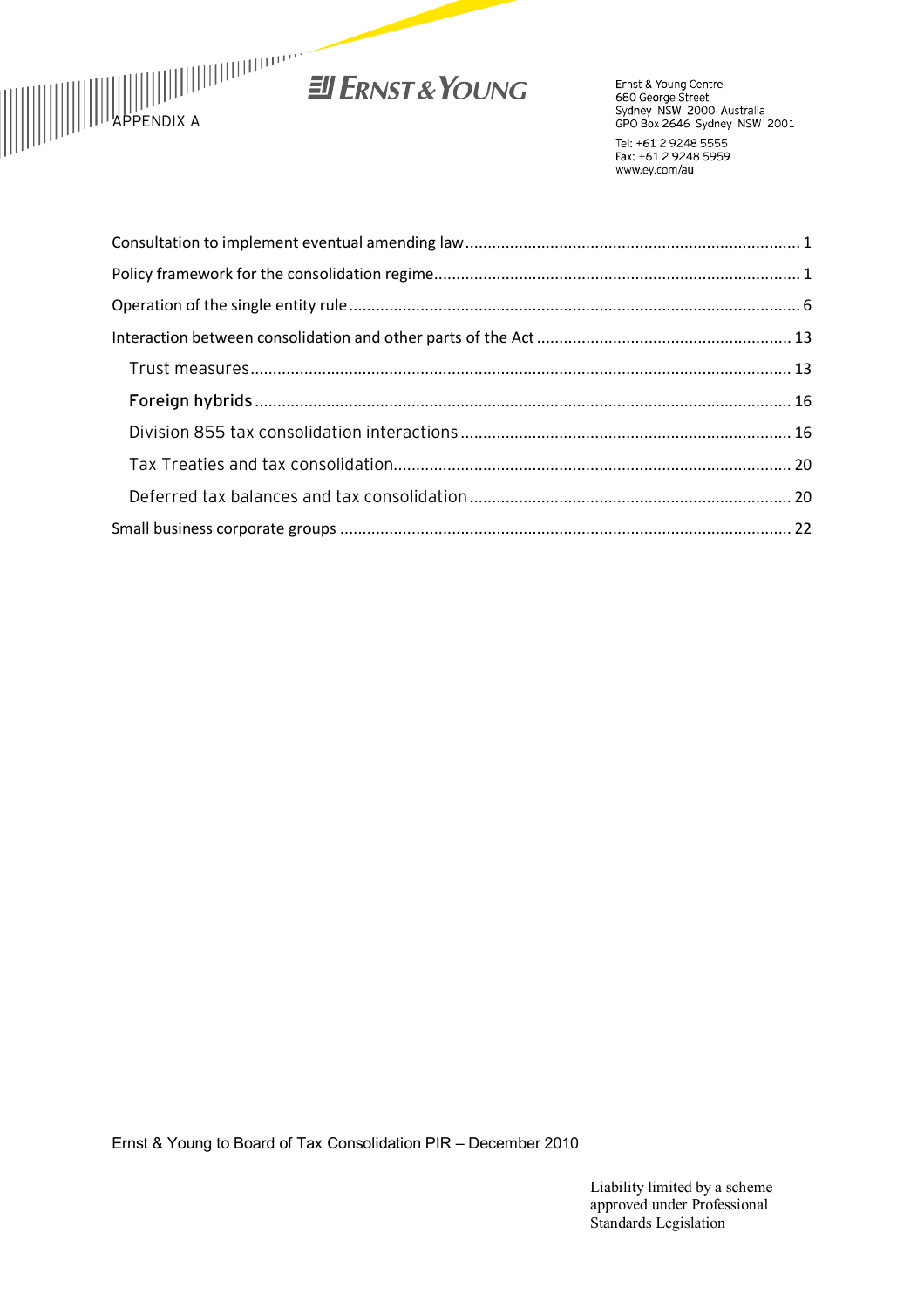

# EN ERNST & YOUNG

Ernst & Young Centre<br>680 George Street<br>Sydney NSW 2000 Australia<br>GPO Box 2646 Sydney NSW 2001 Tel: +61 2 9248 5555

Fax: +61 2 9248 5959 www.ey.com/au

Ernst & Young to Board of Tax Consolidation PIR – December 2010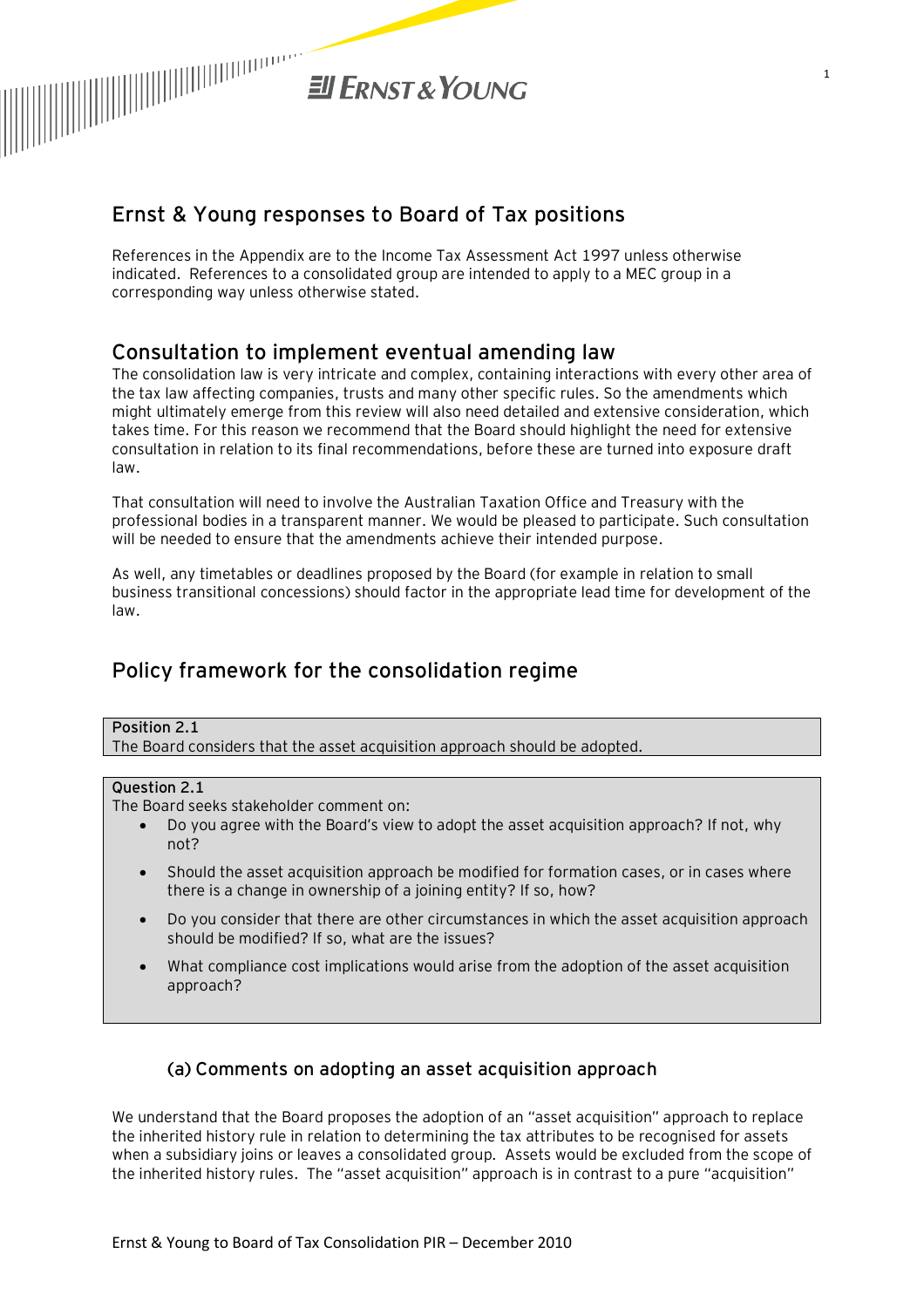

# **Ernst & Young responses to Board of Tax positions**

References in the Appendix are to the Income Tax Assessment Act 1997 unless otherwise indicated. References to a consolidated group are intended to apply to a MEC group in a corresponding way unless otherwise stated.

# **Consultation to implement eventual amending law**

The consolidation law is very intricate and complex, containing interactions with every other area of the tax law affecting companies, trusts and many other specific rules. So the amendments which might ultimately emerge from this review will also need detailed and extensive consideration, which takes time. For this reason we recommend that the Board should highlight the need for extensive consultation in relation to its final recommendations, before these are turned into exposure draft law.

That consultation will need to involve the Australian Taxation Office and Treasury with the professional bodies in a transparent manner. We would be pleased to participate. Such consultation will be needed to ensure that the amendments achieve their intended purpose.

As well, any timetables or deadlines proposed by the Board (for example in relation to small business transitional concessions) should factor in the appropriate lead time for development of the law.

# **Policy framework for the consolidation regime**

#### **Position 2.1**

The Board considers that the asset acquisition approach should be adopted.

#### **Question 2.1**

The Board seeks stakeholder comment on:

- · Do you agree with the Board's view to adopt the asset acquisition approach? If not, why not?
- · Should the asset acquisition approach be modified for formation cases, or in cases where there is a change in ownership of a joining entity? If so, how?
- · Do you consider that there are other circumstances in which the asset acquisition approach should be modified? If so, what are the issues?
- · What compliance cost implications would arise from the adoption of the asset acquisition approach?

### (a) Comments on adopting an asset acquisition approach

We understand that the Board proposes the adoption of an "asset acquisition" approach to replace the inherited history rule in relation to determining the tax attributes to be recognised for assets when a subsidiary joins or leaves a consolidated group. Assets would be excluded from the scope of the inherited history rules. The "asset acquisition" approach is in contrast to a pure "acquisition"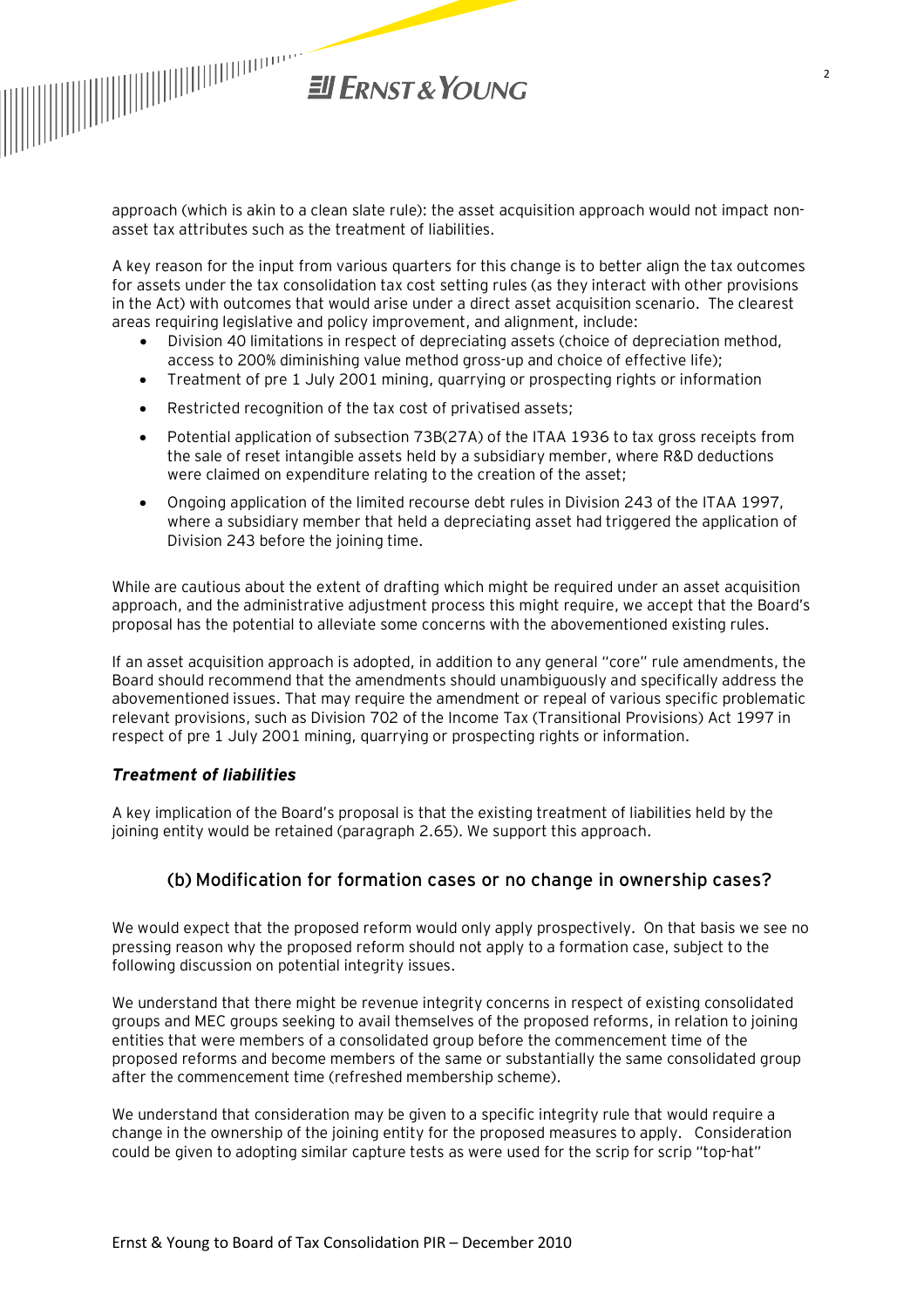

approach (which is akin to a clean slate rule): the asset acquisition approach would not impact nonasset tax attributes such as the treatment of liabilities.

A key reason for the input from various quarters for this change is to better align the tax outcomes for assets under the tax consolidation tax cost setting rules (as they interact with other provisions in the Act) with outcomes that would arise under a direct asset acquisition scenario. The clearest areas requiring legislative and policy improvement, and alignment, include:

- · Division 40 limitations in respect of depreciating assets (choice of depreciation method, access to 200% diminishing value method gross-up and choice of effective life);
- · Treatment of pre 1 July 2001 mining, quarrying or prospecting rights or information
- · Restricted recognition of the tax cost of privatised assets;
- Potential application of subsection 73B(27A) of the ITAA 1936 to tax gross receipts from the sale of reset intangible assets held by a subsidiary member, where R&D deductions were claimed on expenditure relating to the creation of the asset;
- · Ongoing application of the limited recourse debt rules in Division 243 of the ITAA 1997, where a subsidiary member that held a depreciating asset had triggered the application of Division 243 before the joining time.

While are cautious about the extent of drafting which might be required under an asset acquisition approach, and the administrative adjustment process this might require, we accept that the Board's proposal has the potential to alleviate some concerns with the abovementioned existing rules.

If an asset acquisition approach is adopted, in addition to any general "core" rule amendments, the Board should recommend that the amendments should unambiguously and specifically address the abovementioned issues. That may require the amendment or repeal of various specific problematic relevant provisions, such as Division 702 of the Income Tax (Transitional Provisions) Act 1997 in respect of pre 1 July 2001 mining, quarrying or prospecting rights or information.

#### *Treatment of liabilities*

A key implication of the Board's proposal is that the existing treatment of liabilities held by the joining entity would be retained (paragraph 2.65). We support this approach.

#### (b) Modification for formation cases or no change in ownership cases?

We would expect that the proposed reform would only apply prospectively. On that basis we see no pressing reason why the proposed reform should not apply to a formation case, subject to the following discussion on potential integrity issues.

We understand that there might be revenue integrity concerns in respect of existing consolidated groups and MEC groups seeking to avail themselves of the proposed reforms, in relation to joining entities that were members of a consolidated group before the commencement time of the proposed reforms and become members of the same or substantially the same consolidated group after the commencement time (refreshed membership scheme).

We understand that consideration may be given to a specific integrity rule that would require a change in the ownership of the joining entity for the proposed measures to apply. Consideration could be given to adopting similar capture tests as were used for the scrip for scrip "top-hat"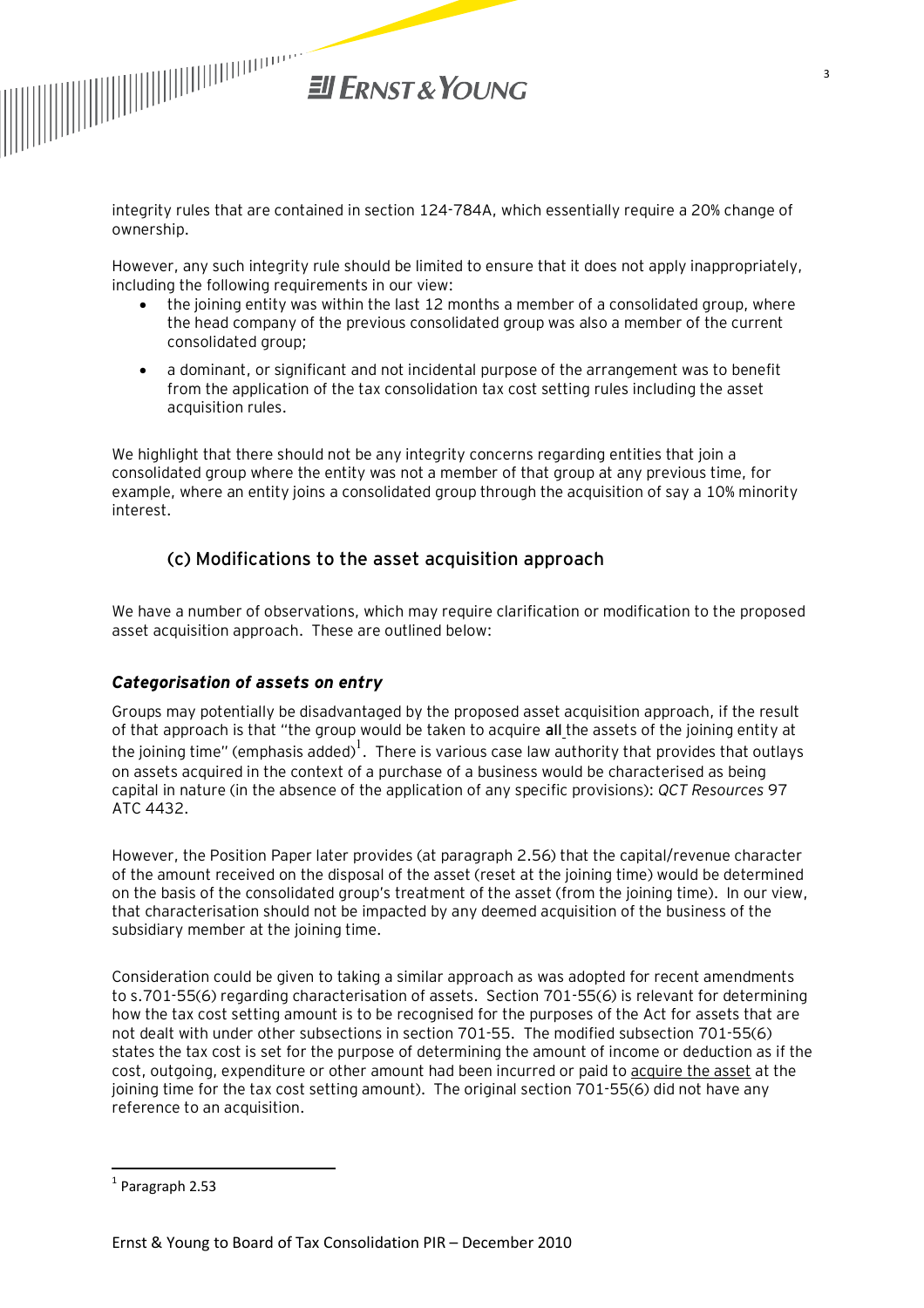

integrity rules that are contained in section 124-784A, which essentially require a 20% change of ownership.

However, any such integrity rule should be limited to ensure that it does not apply inappropriately, including the following requirements in our view:

- the joining entity was within the last 12 months a member of a consolidated group, where the head company of the previous consolidated group was also a member of the current consolidated group;
- · a dominant, or significant and not incidental purpose of the arrangement was to benefit from the application of the tax consolidation tax cost setting rules including the asset acquisition rules.

We highlight that there should not be any integrity concerns regarding entities that join a consolidated group where the entity was not a member of that group at any previous time, for example, where an entity joins a consolidated group through the acquisition of say a 10% minority interest.

## (c) Modifications to the asset acquisition approach

We have a number of observations, which may require clarification or modification to the proposed asset acquisition approach. These are outlined below:

#### *Categorisation of assets on entry*

Groups may potentially be disadvantaged by the proposed asset acquisition approach, if the result of that approach is that "the group would be taken to acquire **all** the assets of the joining entity at the joining time" (emphasis added) $^{\rm l}$  . There is various case law authority that provides that outlays on assets acquired in the context of a purchase of a business would be characterised as being capital in nature (in the absence of the application of any specific provisions): *QCT Resources* 97 ATC 4432.

However, the Position Paper later provides (at paragraph 2.56) that the capital/revenue character of the amount received on the disposal of the asset (reset at the joining time) would be determined on the basis of the consolidated group's treatment of the asset (from the joining time). In our view, that characterisation should not be impacted by any deemed acquisition of the business of the subsidiary member at the joining time.

Consideration could be given to taking a similar approach as was adopted for recent amendments to s.701-55(6) regarding characterisation of assets. Section 701-55(6) is relevant for determining how the tax cost setting amount is to be recognised for the purposes of the Act for assets that are not dealt with under other subsections in section 701-55. The modified subsection 701-55(6) states the tax cost is set for the purpose of determining the amount of income or deduction as if the cost, outgoing, expenditure or other amount had been incurred or paid to acquire the asset at the joining time for the tax cost setting amount). The original section 701-55(6) did not have any reference to an acquisition.

 $\overline{\phantom{a}}$ 

 $<sup>1</sup>$  Paragraph 2.53</sup>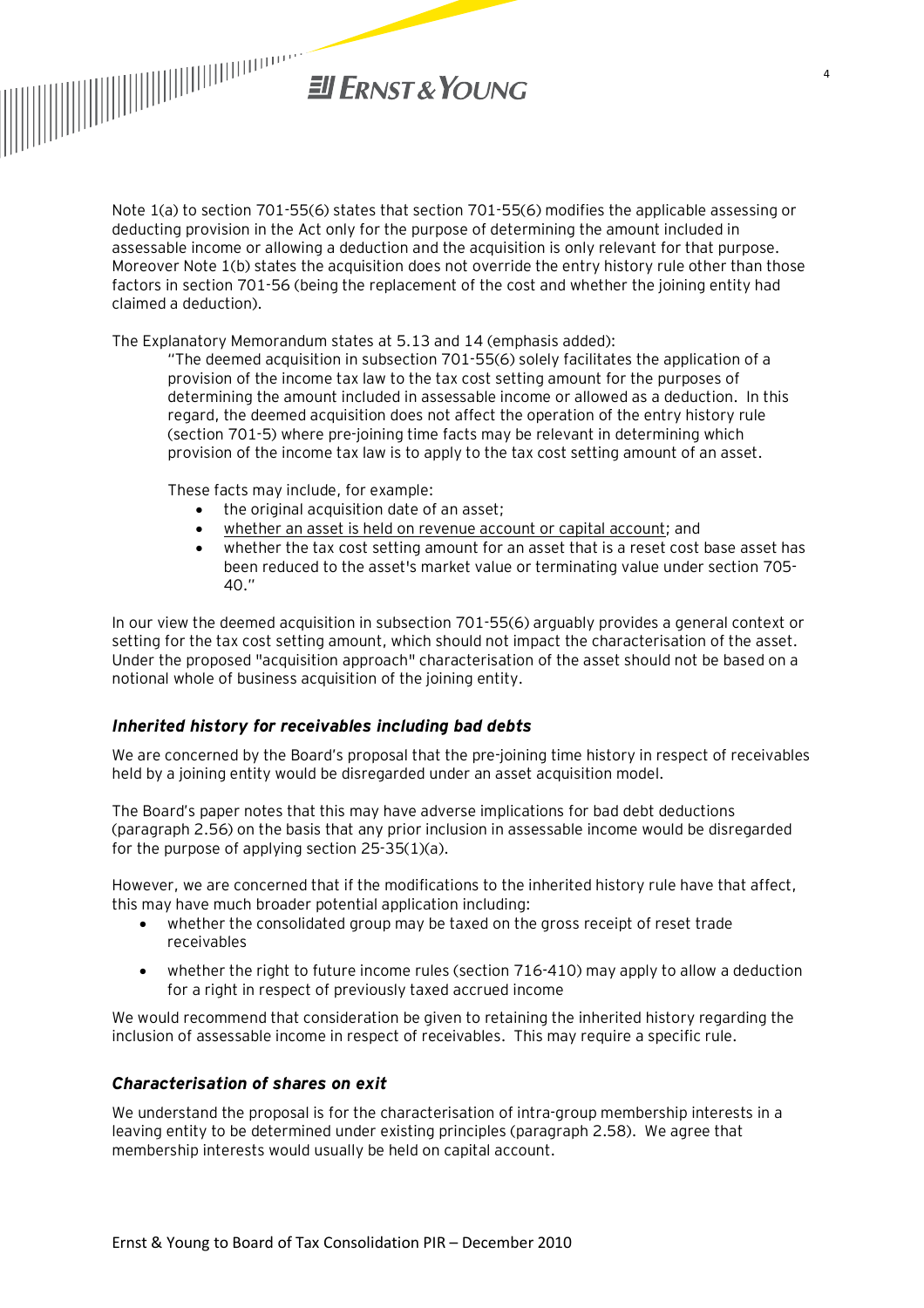

Note 1(a) to section 701-55(6) states that section 701-55(6) modifies the applicable assessing or deducting provision in the Act only for the purpose of determining the amount included in assessable income or allowing a deduction and the acquisition is only relevant for that purpose. Moreover Note 1(b) states the acquisition does not override the entry history rule other than those factors in section 701-56 (being the replacement of the cost and whether the joining entity had claimed a deduction).

The Explanatory Memorandum states at 5.13 and 14 (emphasis added):

"The deemed acquisition in subsection 701-55(6) solely facilitates the application of a provision of the income tax law to the tax cost setting amount for the purposes of determining the amount included in assessable income or allowed as a deduction. In this regard, the deemed acquisition does not affect the operation of the entry history rule (section 701-5) where pre-joining time facts may be relevant in determining which provision of the income tax law is to apply to the tax cost setting amount of an asset.

These facts may include, for example:

- · the original acquisition date of an asset;
- whether an asset is held on revenue account or capital account; and
- · whether the tax cost setting amount for an asset that is a reset cost base asset has been reduced to the asset's market value or terminating value under section 705- 40."

In our view the deemed acquisition in subsection 701-55(6) arguably provides a general context or setting for the tax cost setting amount, which should not impact the characterisation of the asset. Under the proposed "acquisition approach" characterisation of the asset should not be based on a notional whole of business acquisition of the joining entity.

#### *Inherited history for receivables including bad debts*

We are concerned by the Board's proposal that the pre-joining time history in respect of receivables held by a joining entity would be disregarded under an asset acquisition model.

The Board's paper notes that this may have adverse implications for bad debt deductions (paragraph 2.56) on the basis that any prior inclusion in assessable income would be disregarded for the purpose of applying section 25-35(1)(a).

However, we are concerned that if the modifications to the inherited history rule have that affect, this may have much broader potential application including:

- · whether the consolidated group may be taxed on the gross receipt of reset trade receivables
- · whether the right to future income rules (section 716-410) may apply to allow a deduction for a right in respect of previously taxed accrued income

We would recommend that consideration be given to retaining the inherited history regarding the inclusion of assessable income in respect of receivables. This may require a specific rule.

#### *Characterisation of shares on exit*

We understand the proposal is for the characterisation of intra-group membership interests in a leaving entity to be determined under existing principles (paragraph 2.58). We agree that membership interests would usually be held on capital account.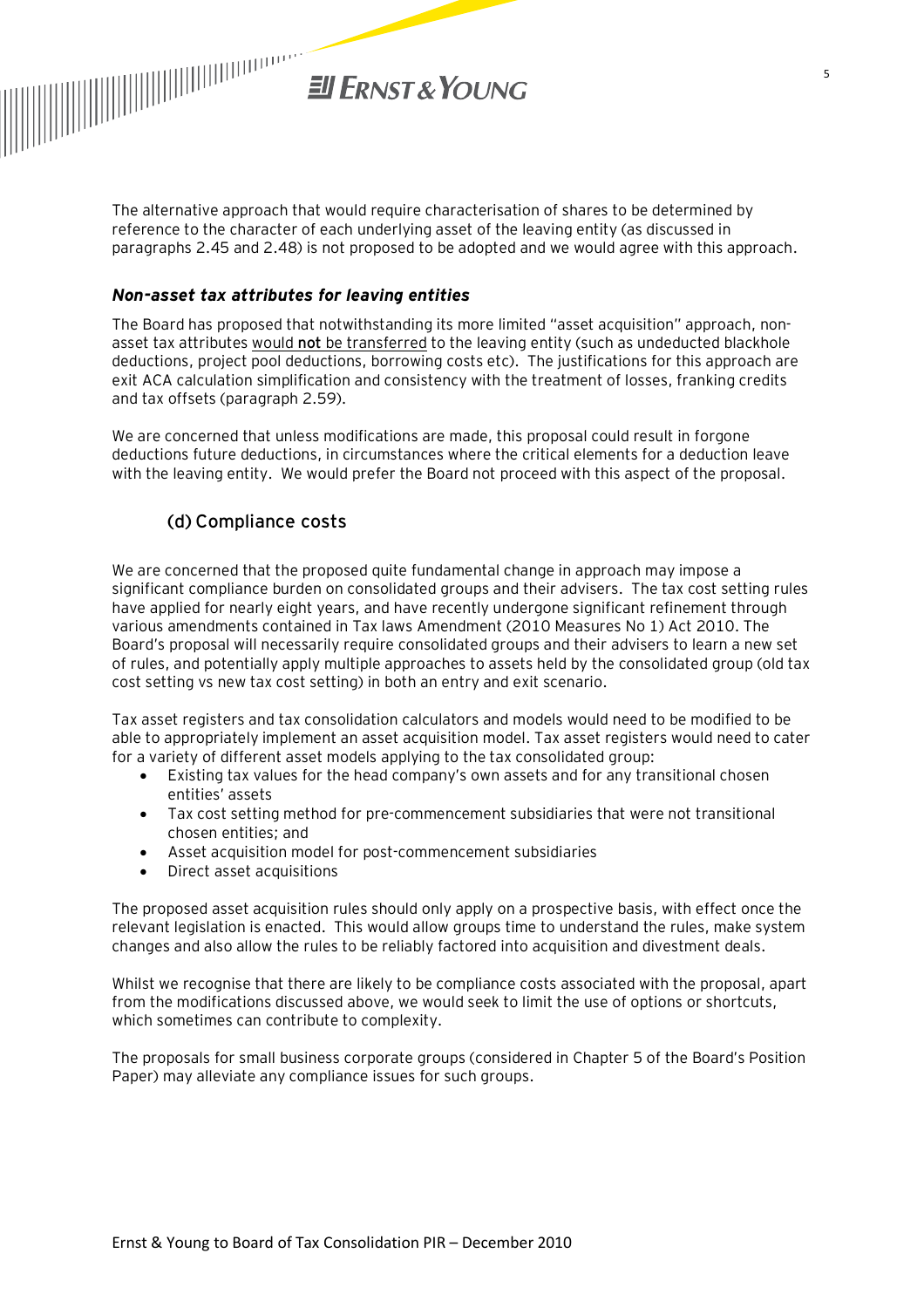

The alternative approach that would require characterisation of shares to be determined by reference to the character of each underlying asset of the leaving entity (as discussed in paragraphs 2.45 and 2.48) is not proposed to be adopted and we would agree with this approach.

#### *Non-asset tax attributes for leaving entities*

The Board has proposed that notwithstanding its more limited "asset acquisition" approach, nonasset tax attributes would **not** be transferred to the leaving entity (such as undeducted blackhole deductions, project pool deductions, borrowing costs etc). The justifications for this approach are exit ACA calculation simplification and consistency with the treatment of losses, franking credits and tax offsets (paragraph 2.59).

We are concerned that unless modifications are made, this proposal could result in forgone deductions future deductions, in circumstances where the critical elements for a deduction leave with the leaving entity. We would prefer the Board not proceed with this aspect of the proposal.

#### (d) Compliance costs

We are concerned that the proposed quite fundamental change in approach may impose a significant compliance burden on consolidated groups and their advisers. The tax cost setting rules have applied for nearly eight years, and have recently undergone significant refinement through various amendments contained in Tax laws Amendment (2010 Measures No 1) Act 2010. The Board's proposal will necessarily require consolidated groups and their advisers to learn a new set of rules, and potentially apply multiple approaches to assets held by the consolidated group (old tax cost setting vs new tax cost setting) in both an entry and exit scenario.

Tax asset registers and tax consolidation calculators and models would need to be modified to be able to appropriately implement an asset acquisition model. Tax asset registers would need to cater for a variety of different asset models applying to the tax consolidated group:

- · Existing tax values for the head company's own assets and for any transitional chosen entities' assets
- · Tax cost setting method for pre-commencement subsidiaries that were not transitional chosen entities; and
- · Asset acquisition model for post-commencement subsidiaries
- · Direct asset acquisitions

The proposed asset acquisition rules should only apply on a prospective basis, with effect once the relevant legislation is enacted. This would allow groups time to understand the rules, make system changes and also allow the rules to be reliably factored into acquisition and divestment deals.

Whilst we recognise that there are likely to be compliance costs associated with the proposal, apart from the modifications discussed above, we would seek to limit the use of options or shortcuts, which sometimes can contribute to complexity.

The proposals for small business corporate groups (considered in Chapter 5 of the Board's Position Paper) may alleviate any compliance issues for such groups.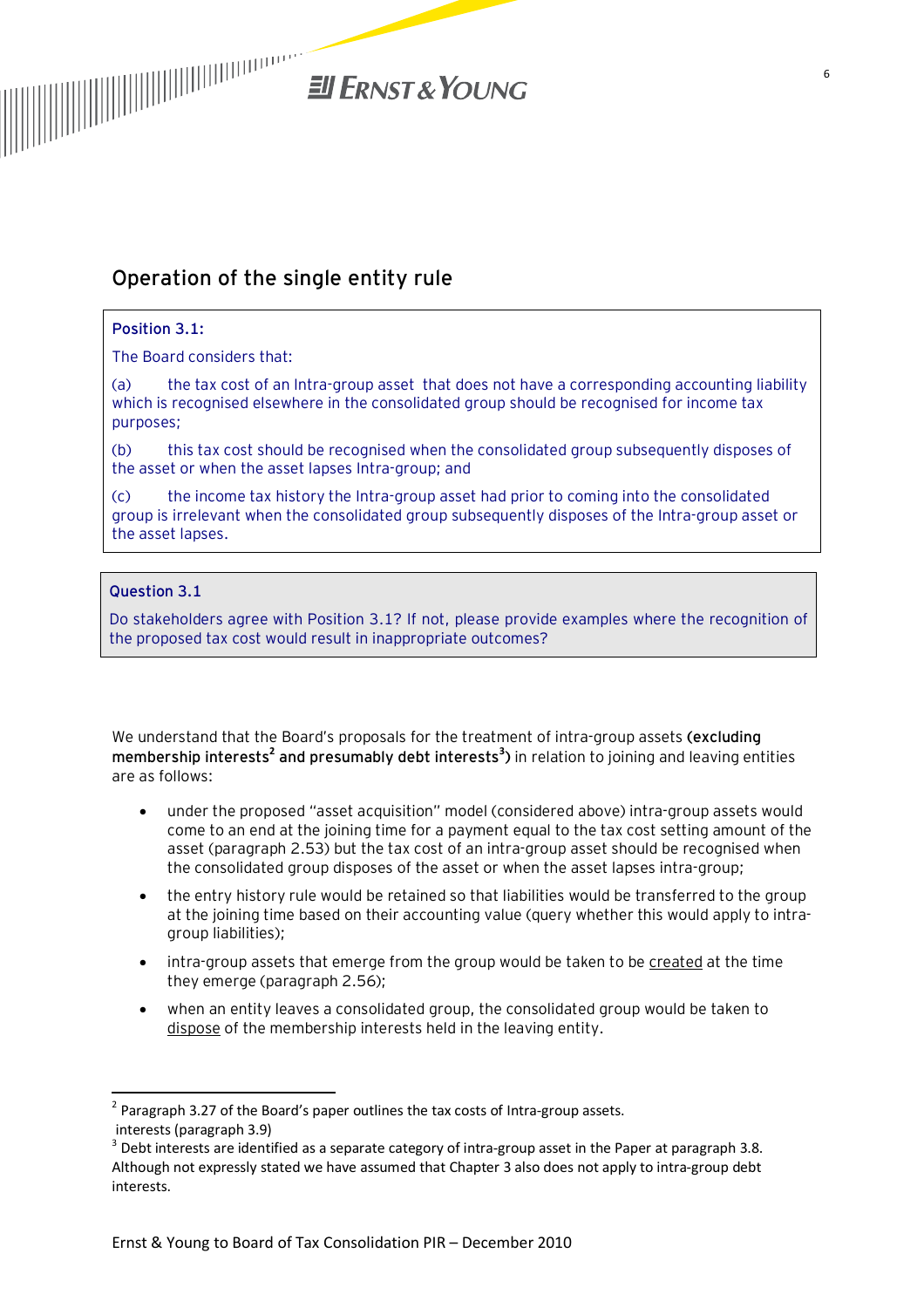

# **Operation of the single entity rule**

#### **Position 3.1:**

The Board considers that:

(a) the tax cost of an Intra-group asset that does not have a corresponding accounting liability which is recognised elsewhere in the consolidated group should be recognised for income tax purposes;

(b) this tax cost should be recognised when the consolidated group subsequently disposes of the asset or when the asset lapses Intra-group; and

(c) the income tax history the Intra-group asset had prior to coming into the consolidated group is irrelevant when the consolidated group subsequently disposes of the Intra-group asset or the asset lapses.

#### **Question 3.1**

 $\overline{\phantom{a}}$ 

Do stakeholders agree with Position 3.1? If not, please provide examples where the recognition of the proposed tax cost would result in inappropriate outcomes?

We understand that the Board's proposals for the treatment of intra-group assets **(excluding membership interests<sup>2</sup> and presumably debt interests<sup>3</sup> )** in relation to joining and leaving entities are as follows:

- · under the proposed "asset acquisition" model (considered above) intra-group assets would come to an end at the joining time for a payment equal to the tax cost setting amount of the asset (paragraph 2.53) but the tax cost of an intra-group asset should be recognised when the consolidated group disposes of the asset or when the asset lapses intra-group;
- · the entry history rule would be retained so that liabilities would be transferred to the group at the joining time based on their accounting value (query whether this would apply to intragroup liabilities);
- · intra-group assets that emerge from the group would be taken to be created at the time they emerge (paragraph 2.56);
- when an entity leaves a consolidated group, the consolidated group would be taken to dispose of the membership interests held in the leaving entity.

 $^2$  Paragraph 3.27 of the Board's paper outlines the tax costs of Intra-group assets. interests (paragraph 3.9)

 $^3$  Debt interests are identified as a separate category of intra-group asset in the Paper at paragraph 3.8. Although not expressly stated we have assumed that Chapter 3 also does not apply to intra-group debt interests.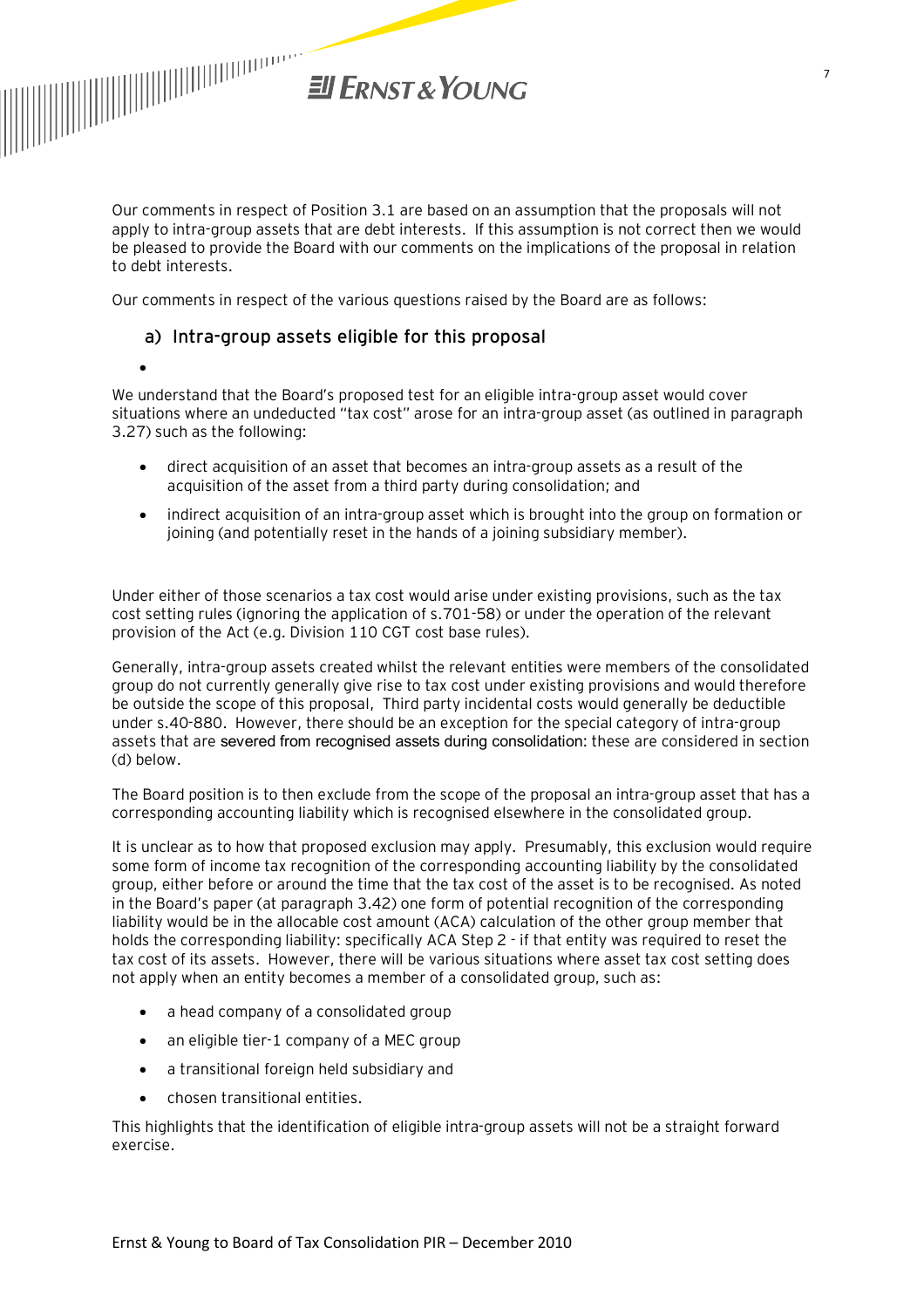

·

Our comments in respect of Position 3.1 are based on an assumption that the proposals will not apply to intra-group assets that are debt interests. If this assumption is not correct then we would be pleased to provide the Board with our comments on the implications of the proposal in relation to debt interests.

Our comments in respect of the various questions raised by the Board are as follows:

#### a) Intra-group assets eligible for this proposal

We understand that the Board's proposed test for an eligible intra-group asset would cover situations where an undeducted "tax cost" arose for an intra-group asset (as outlined in paragraph 3.27) such as the following:

- direct acquisition of an asset that becomes an intra-group assets as a result of the acquisition of the asset from a third party during consolidation; and
- · indirect acquisition of an intra-group asset which is brought into the group on formation or joining (and potentially reset in the hands of a joining subsidiary member).

Under either of those scenarios a tax cost would arise under existing provisions, such as the tax cost setting rules (ignoring the application of s.701-58) or under the operation of the relevant provision of the Act (e.g. Division 110 CGT cost base rules).

Generally, intra-group assets created whilst the relevant entities were members of the consolidated group do not currently generally give rise to tax cost under existing provisions and would therefore be outside the scope of this proposal, Third party incidental costs would generally be deductible under s.40-880. However, there should be an exception for the special category of intra-group assets that are severed from recognised assets during consolidation: these are considered in section (d) below.

The Board position is to then exclude from the scope of the proposal an intra-group asset that has a corresponding accounting liability which is recognised elsewhere in the consolidated group.

It is unclear as to how that proposed exclusion may apply. Presumably, this exclusion would require some form of income tax recognition of the corresponding accounting liability by the consolidated group, either before or around the time that the tax cost of the asset is to be recognised. As noted in the Board's paper (at paragraph 3.42) one form of potential recognition of the corresponding liability would be in the allocable cost amount (ACA) calculation of the other group member that holds the corresponding liability: specifically ACA Step 2 - if that entity was required to reset the tax cost of its assets. However, there will be various situations where asset tax cost setting does not apply when an entity becomes a member of a consolidated group, such as:

- · a head company of a consolidated group
- an eligible tier-1 company of a MEC group
- · a transitional foreign held subsidiary and
- · chosen transitional entities.

This highlights that the identification of eligible intra-group assets will not be a straight forward exercise.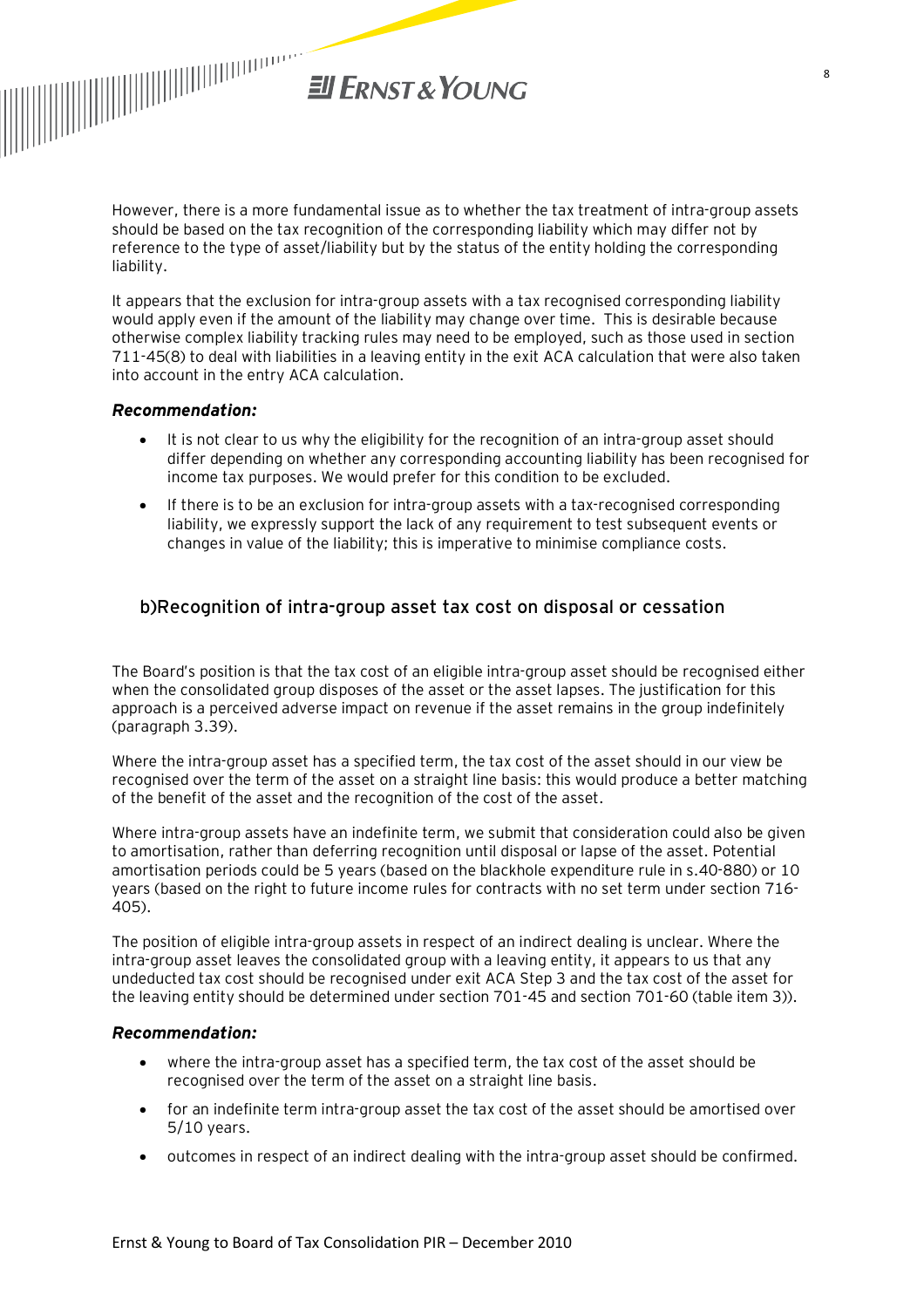

However, there is a more fundamental issue as to whether the tax treatment of intra-group assets should be based on the tax recognition of the corresponding liability which may differ not by reference to the type of asset/liability but by the status of the entity holding the corresponding liability.

It appears that the exclusion for intra-group assets with a tax recognised corresponding liability would apply even if the amount of the liability may change over time. This is desirable because otherwise complex liability tracking rules may need to be employed, such as those used in section 711-45(8) to deal with liabilities in a leaving entity in the exit ACA calculation that were also taken into account in the entry ACA calculation.

#### *Recommendation:*

- It is not clear to us why the eligibility for the recognition of an intra-group asset should differ depending on whether any corresponding accounting liability has been recognised for income tax purposes. We would prefer for this condition to be excluded.
- · If there is to be an exclusion for intra-group assets with a tax-recognised corresponding liability, we expressly support the lack of any requirement to test subsequent events or changes in value of the liability; this is imperative to minimise compliance costs.

#### b)Recognition of intra-group asset tax cost on disposal or cessation

The Board's position is that the tax cost of an eligible intra-group asset should be recognised either when the consolidated group disposes of the asset or the asset lapses. The justification for this approach is a perceived adverse impact on revenue if the asset remains in the group indefinitely (paragraph 3.39).

Where the intra-group asset has a specified term, the tax cost of the asset should in our view be recognised over the term of the asset on a straight line basis: this would produce a better matching of the benefit of the asset and the recognition of the cost of the asset.

Where intra-group assets have an indefinite term, we submit that consideration could also be given to amortisation, rather than deferring recognition until disposal or lapse of the asset. Potential amortisation periods could be 5 years (based on the blackhole expenditure rule in s.40-880) or 10 years (based on the right to future income rules for contracts with no set term under section 716- 405).

The position of eligible intra-group assets in respect of an indirect dealing is unclear. Where the intra-group asset leaves the consolidated group with a leaving entity, it appears to us that any undeducted tax cost should be recognised under exit ACA Step 3 and the tax cost of the asset for the leaving entity should be determined under section 701-45 and section 701-60 (table item 3)).

#### *Recommendation:*

- where the intra-group asset has a specified term, the tax cost of the asset should be recognised over the term of the asset on a straight line basis.
- · for an indefinite term intra-group asset the tax cost of the asset should be amortised over 5/10 years.
- · outcomes in respect of an indirect dealing with the intra-group asset should be confirmed.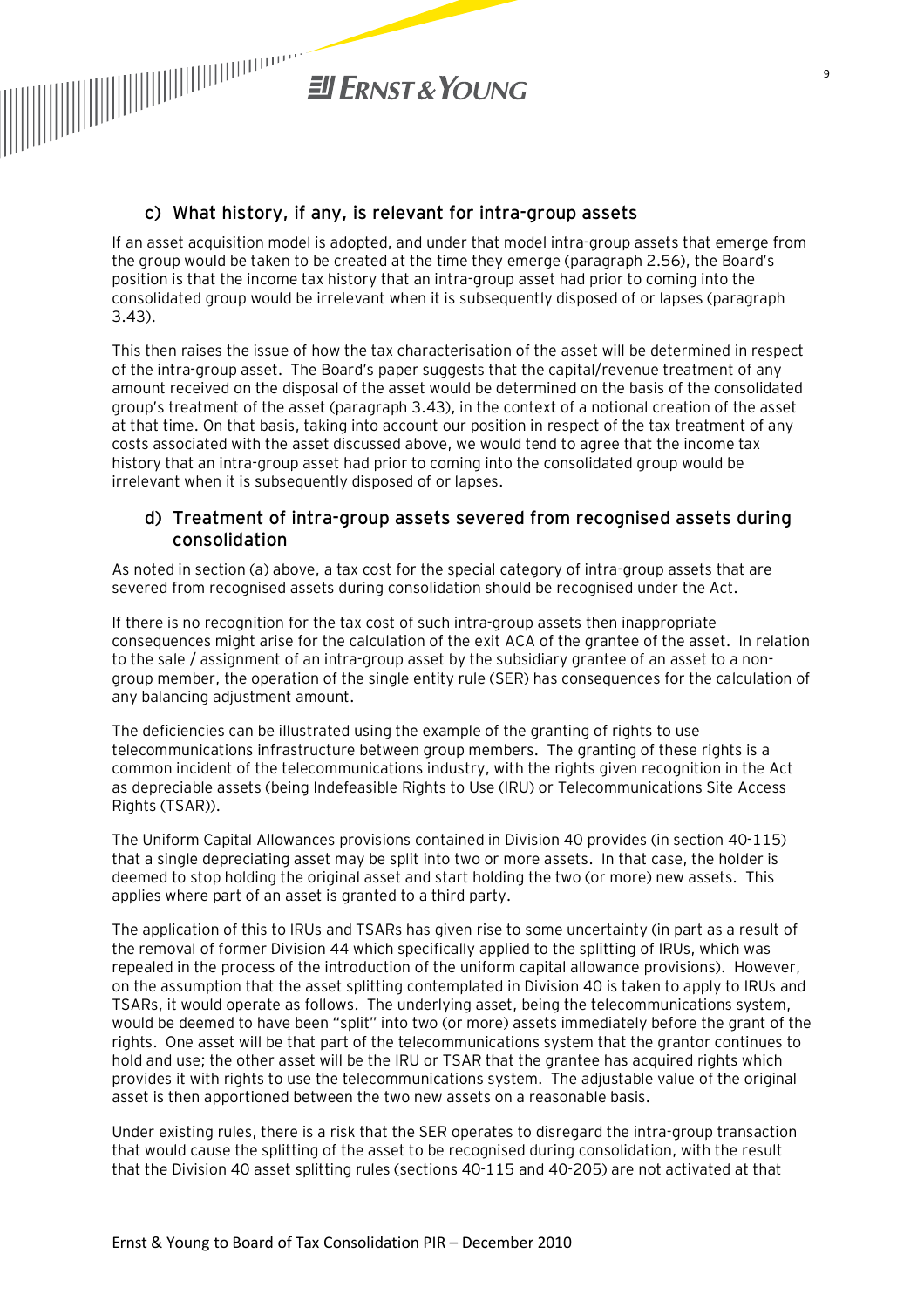

#### c) What history, if any, is relevant for intra-group assets

If an asset acquisition model is adopted, and under that model intra-group assets that emerge from the group would be taken to be created at the time they emerge (paragraph 2.56), the Board's position is that the income tax history that an intra-group asset had prior to coming into the consolidated group would be irrelevant when it is subsequently disposed of or lapses (paragraph 3.43).

This then raises the issue of how the tax characterisation of the asset will be determined in respect of the intra-group asset. The Board's paper suggests that the capital/revenue treatment of any amount received on the disposal of the asset would be determined on the basis of the consolidated group's treatment of the asset (paragraph 3.43), in the context of a notional creation of the asset at that time. On that basis, taking into account our position in respect of the tax treatment of any costs associated with the asset discussed above, we would tend to agree that the income tax history that an intra-group asset had prior to coming into the consolidated group would be irrelevant when it is subsequently disposed of or lapses.

#### d) Treatment of intra-group assets severed from recognised assets during consolidation

As noted in section (a) above, a tax cost for the special category of intra-group assets that are severed from recognised assets during consolidation should be recognised under the Act.

If there is no recognition for the tax cost of such intra-group assets then inappropriate consequences might arise for the calculation of the exit ACA of the grantee of the asset. In relation to the sale / assignment of an intra-group asset by the subsidiary grantee of an asset to a nongroup member, the operation of the single entity rule (SER) has consequences for the calculation of any balancing adjustment amount.

The deficiencies can be illustrated using the example of the granting of rights to use telecommunications infrastructure between group members. The granting of these rights is a common incident of the telecommunications industry, with the rights given recognition in the Act as depreciable assets (being Indefeasible Rights to Use (IRU) or Telecommunications Site Access Rights (TSAR)).

The Uniform Capital Allowances provisions contained in Division 40 provides (in section 40-115) that a single depreciating asset may be split into two or more assets. In that case, the holder is deemed to stop holding the original asset and start holding the two (or more) new assets. This applies where part of an asset is granted to a third party.

The application of this to IRUs and TSARs has given rise to some uncertainty (in part as a result of the removal of former Division 44 which specifically applied to the splitting of IRUs, which was repealed in the process of the introduction of the uniform capital allowance provisions). However, on the assumption that the asset splitting contemplated in Division 40 is taken to apply to IRUs and TSARs, it would operate as follows. The underlying asset, being the telecommunications system, would be deemed to have been "split" into two (or more) assets immediately before the grant of the rights. One asset will be that part of the telecommunications system that the grantor continues to hold and use; the other asset will be the IRU or TSAR that the grantee has acquired rights which provides it with rights to use the telecommunications system. The adjustable value of the original asset is then apportioned between the two new assets on a reasonable basis.

Under existing rules, there is a risk that the SER operates to disregard the intra-group transaction that would cause the splitting of the asset to be recognised during consolidation, with the result that the Division 40 asset splitting rules (sections 40-115 and 40-205) are not activated at that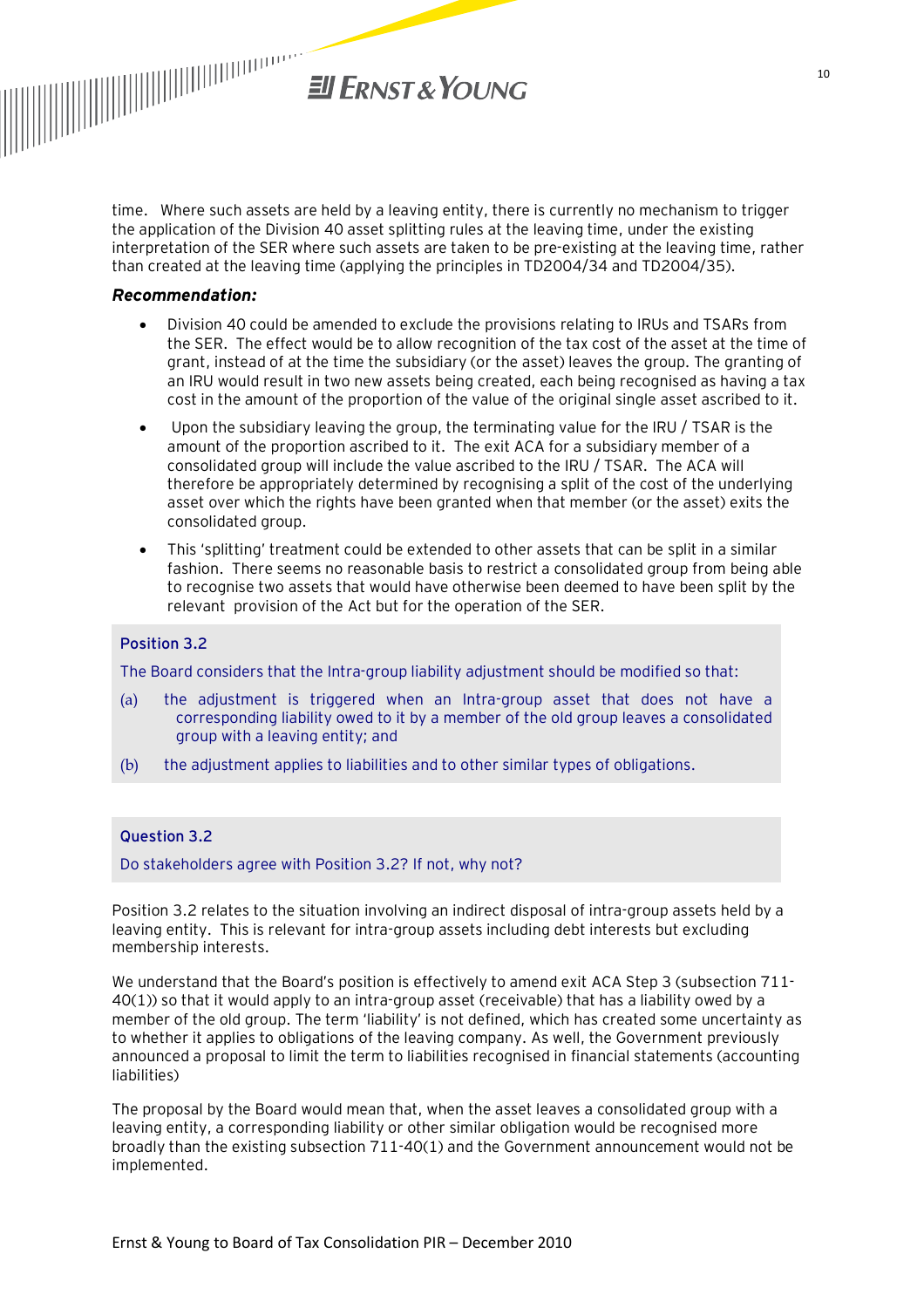

time. Where such assets are held by a leaving entity, there is currently no mechanism to trigger the application of the Division 40 asset splitting rules at the leaving time, under the existing interpretation of the SER where such assets are taken to be pre-existing at the leaving time, rather than created at the leaving time (applying the principles in TD2004/34 and TD2004/35).

#### *Recommendation:*

- · Division 40 could be amended to exclude the provisions relating to IRUs and TSARs from the SER. The effect would be to allow recognition of the tax cost of the asset at the time of grant, instead of at the time the subsidiary (or the asset) leaves the group. The granting of an IRU would result in two new assets being created, each being recognised as having a tax cost in the amount of the proportion of the value of the original single asset ascribed to it.
- · Upon the subsidiary leaving the group, the terminating value for the IRU / TSAR is the amount of the proportion ascribed to it. The exit ACA for a subsidiary member of a consolidated group will include the value ascribed to the IRU / TSAR. The ACA will therefore be appropriately determined by recognising a split of the cost of the underlying asset over which the rights have been granted when that member (or the asset) exits the consolidated group.
- · This 'splitting' treatment could be extended to other assets that can be split in a similar fashion. There seems no reasonable basis to restrict a consolidated group from being able to recognise two assets that would have otherwise been deemed to have been split by the relevant provision of the Act but for the operation of the SER.

#### **Position 3.2**

The Board considers that the Intra-group liability adjustment should be modified so that:

- (a) the adjustment is triggered when an Intra-group asset that does not have a corresponding liability owed to it by a member of the old group leaves a consolidated group with a leaving entity; and
- (b) the adjustment applies to liabilities and to other similar types of obligations.

#### **Question 3.2**

Do stakeholders agree with Position 3.2? If not, why not?

Position 3.2 relates to the situation involving an indirect disposal of intra-group assets held by a leaving entity. This is relevant for intra-group assets including debt interests but excluding membership interests.

We understand that the Board's position is effectively to amend exit ACA Step 3 (subsection 711- 40(1)) so that it would apply to an intra-group asset (receivable) that has a liability owed by a member of the old group. The term 'liability' is not defined, which has created some uncertainty as to whether it applies to obligations of the leaving company. As well, the Government previously announced a proposal to limit the term to liabilities recognised in financial statements (accounting liabilities)

The proposal by the Board would mean that, when the asset leaves a consolidated group with a leaving entity, a corresponding liability or other similar obligation would be recognised more broadly than the existing subsection 711-40(1) and the Government announcement would not be implemented.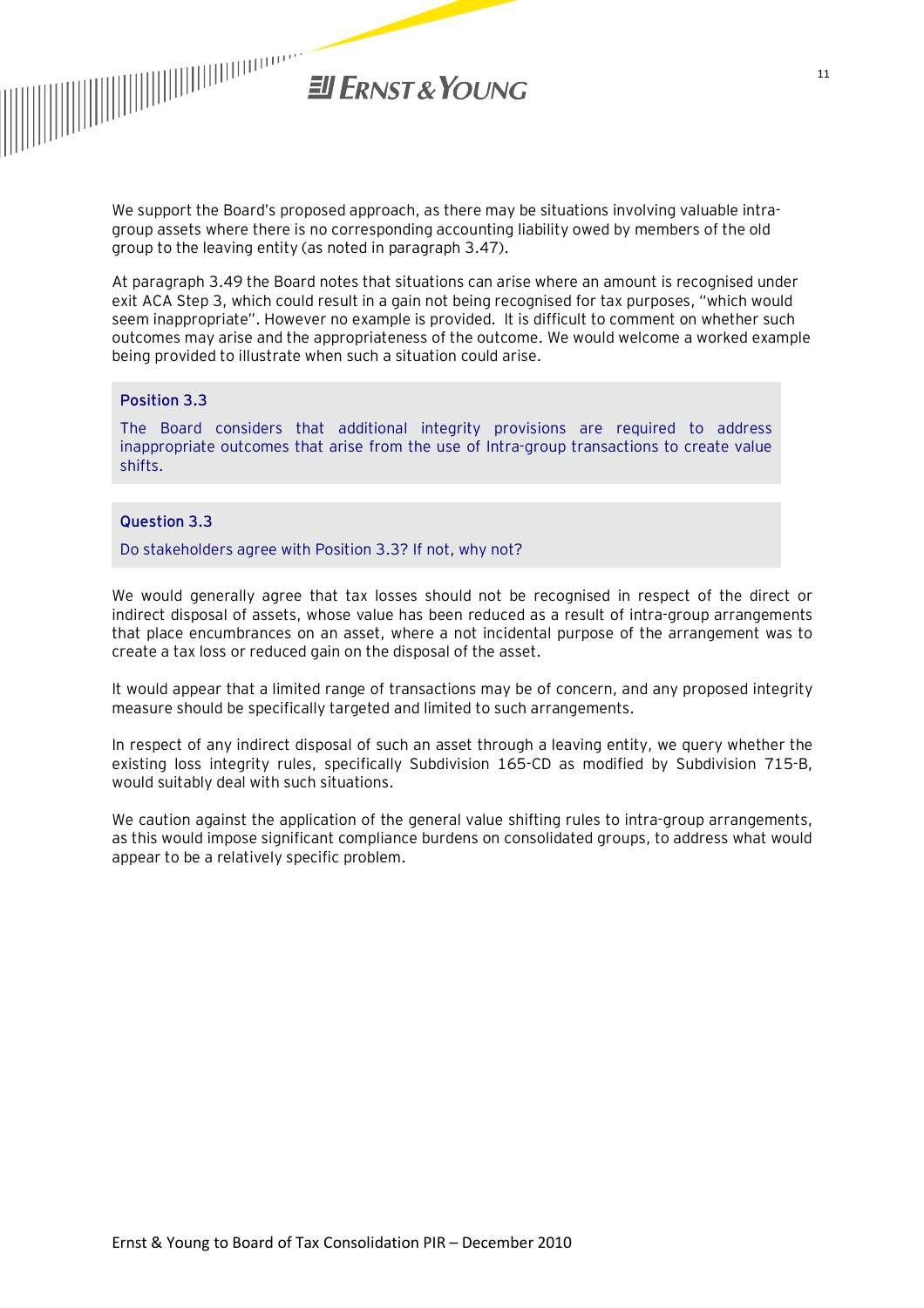

We support the Board's proposed approach, as there may be situations involving valuable intragroup assets where there is no corresponding accounting liability owed by members of the old group to the leaving entity (as noted in paragraph 3.47).

At paragraph 3.49 the Board notes that situations can arise where an amount is recognised under exit ACA Step 3, which could result in a gain not being recognised for tax purposes, "which would seem inappropriate". However no example is provided. It is difficult to comment on whether such outcomes may arise and the appropriateness of the outcome. We would welcome a worked example being provided to illustrate when such a situation could arise.

#### **Position 3.3**

The Board considers that additional integrity provisions are required to address inappropriate outcomes that arise from the use of Intra-group transactions to create value shifts.

#### **Question 3.3**

Do stakeholders agree with Position 3.3? If not, why not?

We would generally agree that tax losses should not be recognised in respect of the direct or indirect disposal of assets, whose value has been reduced as a result of intra-group arrangements that place encumbrances on an asset, where a not incidental purpose of the arrangement was to create a tax loss or reduced gain on the disposal of the asset.

It would appear that a limited range of transactions may be of concern, and any proposed integrity measure should be specifically targeted and limited to such arrangements.

In respect of any indirect disposal of such an asset through a leaving entity, we query whether the existing loss integrity rules, specifically Subdivision 165-CD as modified by Subdivision 715-B, would suitably deal with such situations.

We caution against the application of the general value shifting rules to intra-group arrangements, as this would impose significant compliance burdens on consolidated groups, to address what would appear to be a relatively specific problem.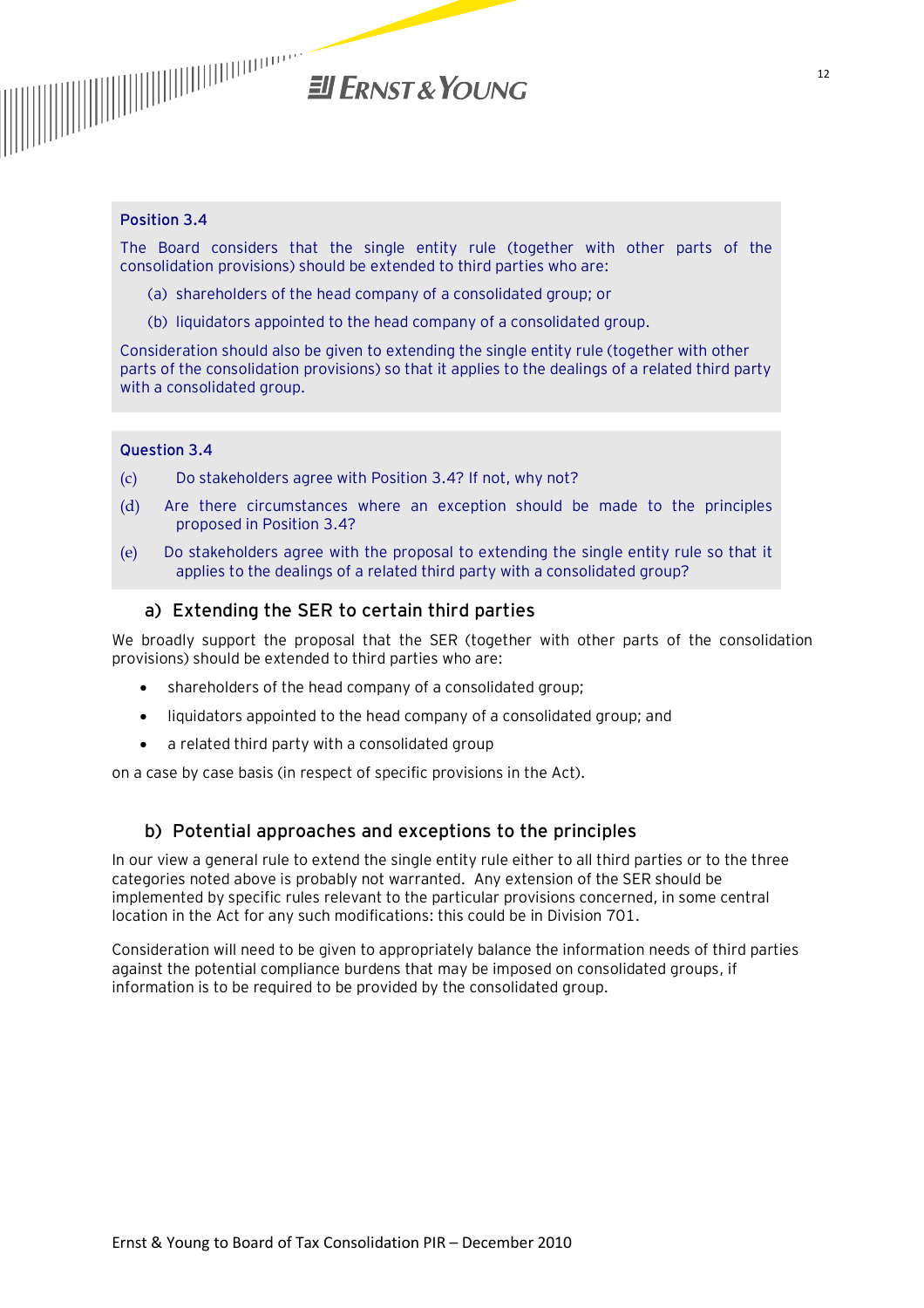

#### **Position 3.4**

The Board considers that the single entity rule (together with other parts of the consolidation provisions) should be extended to third parties who are:

- (a) shareholders of the head company of a consolidated group; or
- (b) liquidators appointed to the head company of a consolidated group.

Consideration should also be given to extending the single entity rule (together with other parts of the consolidation provisions) so that it applies to the dealings of a related third party with a consolidated group.

#### **Question 3.4**

- (c) Do stakeholders agree with Position 3.4? If not, why not?
- (d) Are there circumstances where an exception should be made to the principles proposed in Position 3.4?
- (e) Do stakeholders agree with the proposal to extending the single entity rule so that it applies to the dealings of a related third party with a consolidated group?

#### a) Extending the SER to certain third parties

We broadly support the proposal that the SER (together with other parts of the consolidation provisions) should be extended to third parties who are:

- · shareholders of the head company of a consolidated group;
- · liquidators appointed to the head company of a consolidated group; and
- · a related third party with a consolidated group

on a case by case basis (in respect of specific provisions in the Act).

#### b) Potential approaches and exceptions to the principles

In our view a general rule to extend the single entity rule either to all third parties or to the three categories noted above is probably not warranted. Any extension of the SER should be implemented by specific rules relevant to the particular provisions concerned, in some central location in the Act for any such modifications: this could be in Division 701.

Consideration will need to be given to appropriately balance the information needs of third parties against the potential compliance burdens that may be imposed on consolidated groups, if information is to be required to be provided by the consolidated group.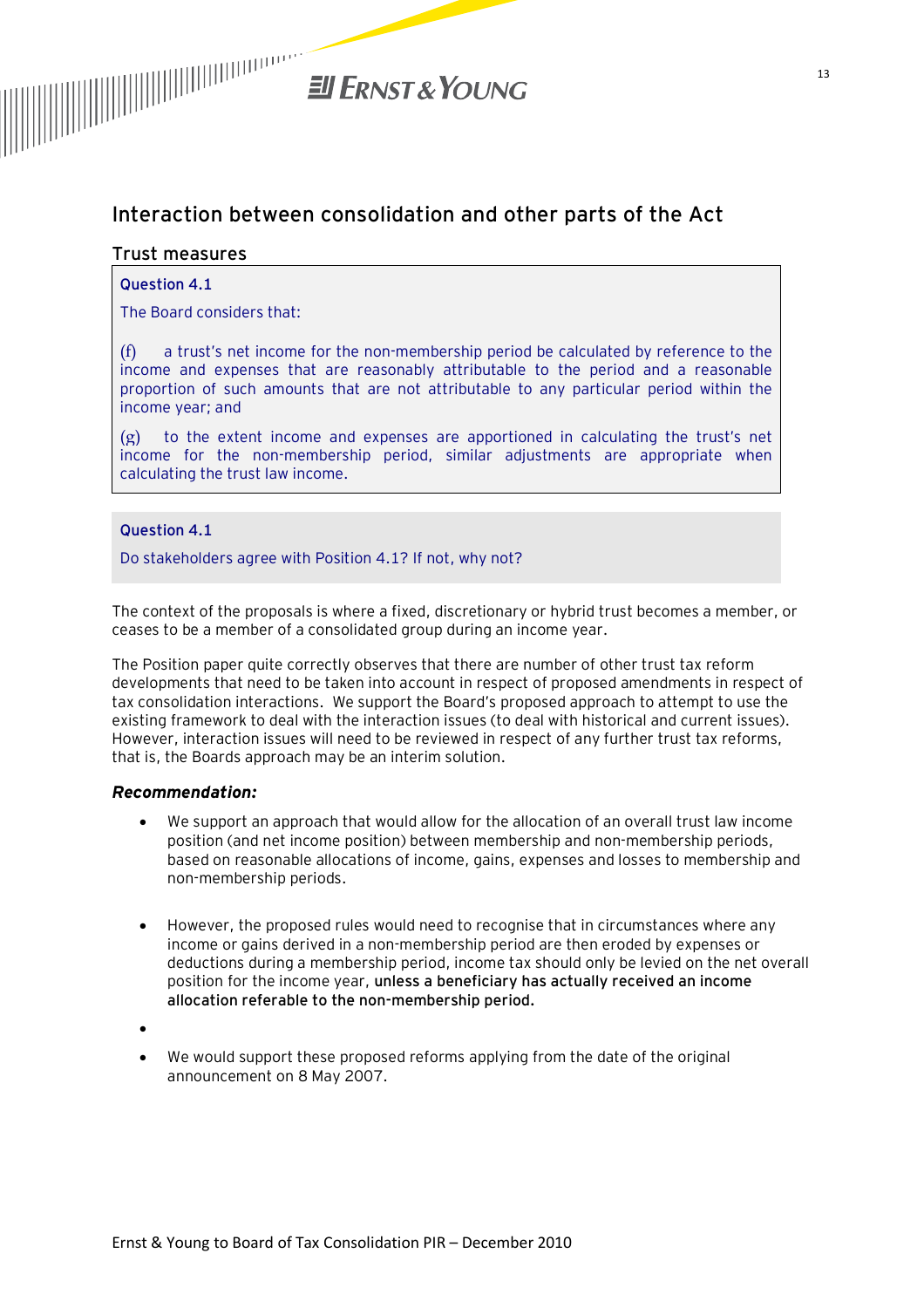

# **Interaction between consolidation and other parts of the Act**

#### **Trust measures**

#### **Question 4.1**

The Board considers that:

(f) a trust's net income for the non-membership period be calculated by reference to the income and expenses that are reasonably attributable to the period and a reasonable proportion of such amounts that are not attributable to any particular period within the income year; and

 $(g)$  to the extent income and expenses are apportioned in calculating the trust's net income for the non-membership period, similar adjustments are appropriate when calculating the trust law income.

#### **Question 4.1**

Do stakeholders agree with Position 4.1? If not, why not?

The context of the proposals is where a fixed, discretionary or hybrid trust becomes a member, or ceases to be a member of a consolidated group during an income year.

The Position paper quite correctly observes that there are number of other trust tax reform developments that need to be taken into account in respect of proposed amendments in respect of tax consolidation interactions. We support the Board's proposed approach to attempt to use the existing framework to deal with the interaction issues (to deal with historical and current issues). However, interaction issues will need to be reviewed in respect of any further trust tax reforms, that is, the Boards approach may be an interim solution.

#### *Recommendation:*

- · We support an approach that would allow for the allocation of an overall trust law income position (and net income position) between membership and non-membership periods, based on reasonable allocations of income, gains, expenses and losses to membership and non-membership periods.
- · However, the proposed rules would need to recognise that in circumstances where any income or gains derived in a non-membership period are then eroded by expenses or deductions during a membership period, income tax should only be levied on the net overall position for the income year, **unless a beneficiary has actually received an income allocation referable to the non-membership period.**
- ·
- · We would support these proposed reforms applying from the date of the original announcement on 8 May 2007.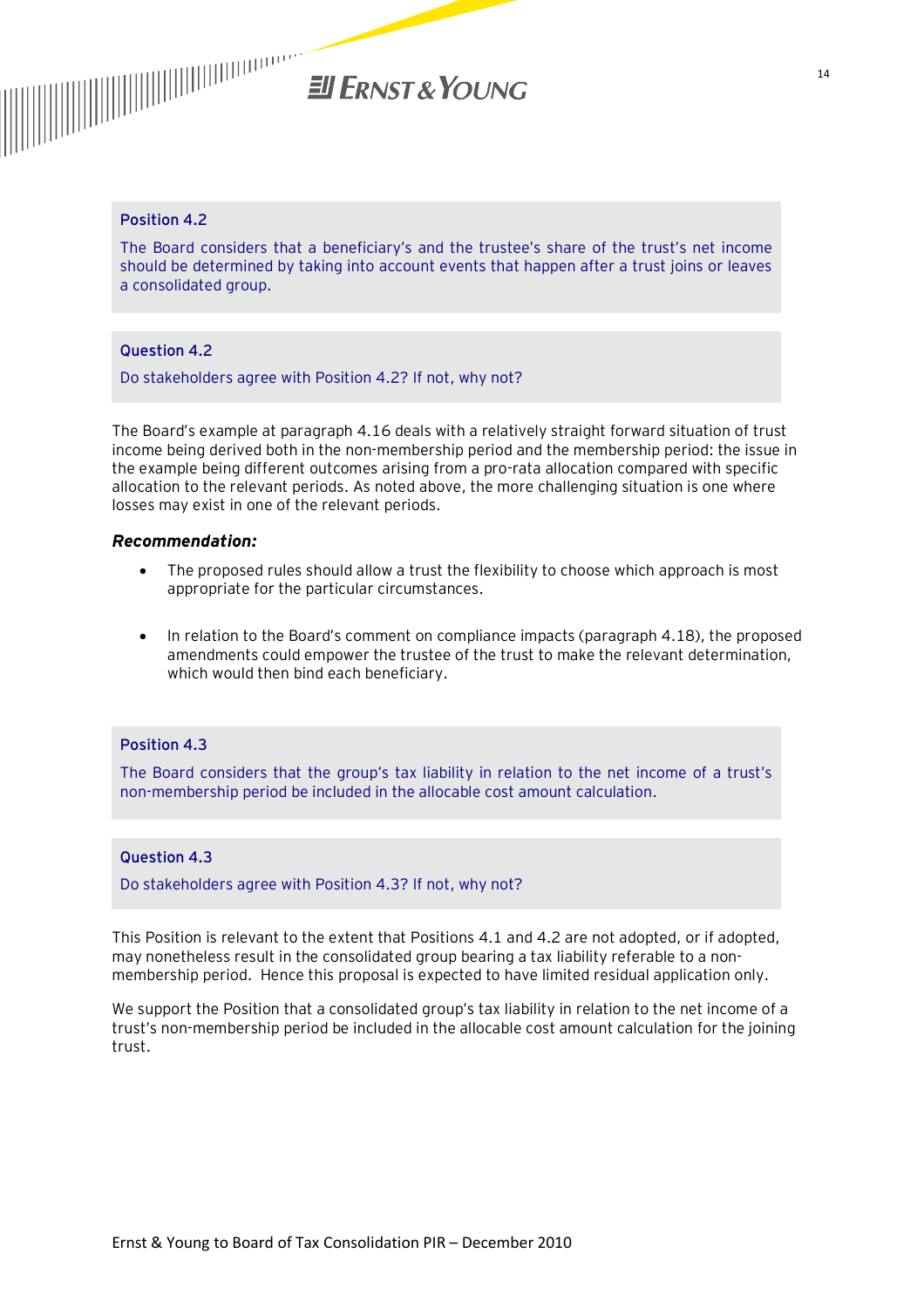# **El ERNST & YOUNG**

#### **Position 4.2**

The Board considers that a beneficiary's and the trustee's share of the trust's net income should be determined by taking into account events that happen after a trust joins or leaves a consolidated group.

#### **Question 4.2**

Do stakeholders agree with Position 4.2? If not, why not?

The Board's example at paragraph 4.16 deals with a relatively straight forward situation of trust income being derived both in the non-membership period and the membership period: the issue in the example being different outcomes arising from a pro-rata allocation compared with specific allocation to the relevant periods. As noted above, the more challenging situation is one where losses may exist in one of the relevant periods.

#### *Recommendation:*

- · The proposed rules should allow a trust the flexibility to choose which approach is most appropriate for the particular circumstances.
- · In relation to the Board's comment on compliance impacts (paragraph 4.18), the proposed amendments could empower the trustee of the trust to make the relevant determination, which would then bind each beneficiary.

#### **Position 4.3**

The Board considers that the group's tax liability in relation to the net income of a trust's non-membership period be included in the allocable cost amount calculation.

#### **Question 4.3**

Do stakeholders agree with Position 4.3? If not, why not?

This Position is relevant to the extent that Positions 4.1 and 4.2 are not adopted, or if adopted, may nonetheless result in the consolidated group bearing a tax liability referable to a nonmembership period. Hence this proposal is expected to have limited residual application only.

We support the Position that a consolidated group's tax liability in relation to the net income of a trust's non-membership period be included in the allocable cost amount calculation for the joining trust.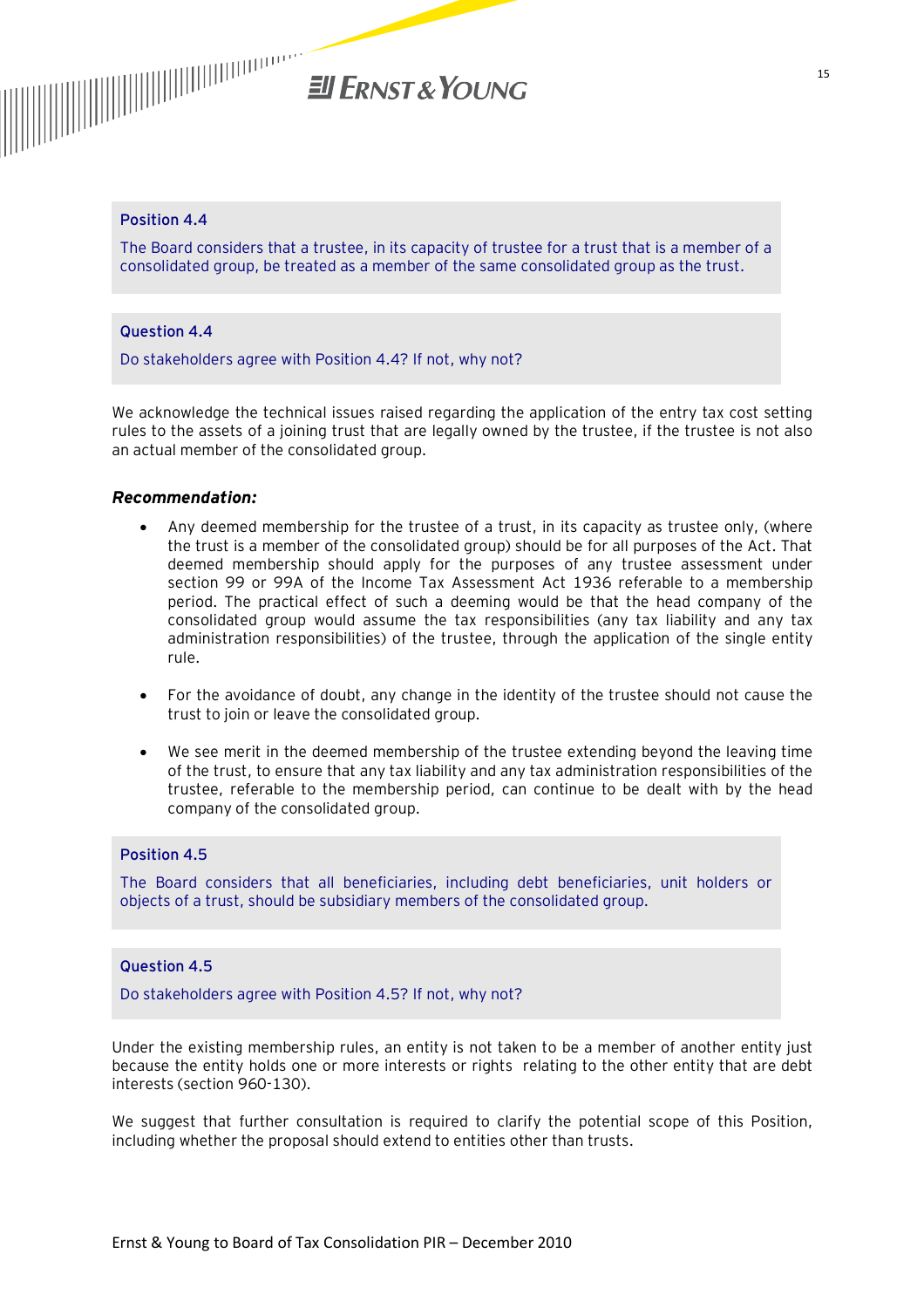

#### **Position 4.4**

The Board considers that a trustee, in its capacity of trustee for a trust that is a member of a consolidated group, be treated as a member of the same consolidated group as the trust.

#### **Question 4.4**

Do stakeholders agree with Position 4.4? If not, why not?

We acknowledge the technical issues raised regarding the application of the entry tax cost setting rules to the assets of a joining trust that are legally owned by the trustee, if the trustee is not also an actual member of the consolidated group.

#### *Recommendation:*

- Any deemed membership for the trustee of a trust, in its capacity as trustee only, (where the trust is a member of the consolidated group) should be for all purposes of the Act. That deemed membership should apply for the purposes of any trustee assessment under section 99 or 99A of the Income Tax Assessment Act 1936 referable to a membership period. The practical effect of such a deeming would be that the head company of the consolidated group would assume the tax responsibilities (any tax liability and any tax administration responsibilities) of the trustee, through the application of the single entity rule.
- For the avoidance of doubt, any change in the identity of the trustee should not cause the trust to join or leave the consolidated group.
- We see merit in the deemed membership of the trustee extending beyond the leaving time of the trust, to ensure that any tax liability and any tax administration responsibilities of the trustee, referable to the membership period, can continue to be dealt with by the head company of the consolidated group.

#### **Position 4.5**

The Board considers that all beneficiaries, including debt beneficiaries, unit holders or objects of a trust, should be subsidiary members of the consolidated group.

#### **Question 4.5**

Do stakeholders agree with Position 4.5? If not, why not?

Under the existing membership rules, an entity is not taken to be a member of another entity just because the entity holds one or more interests or rights relating to the other entity that are debt interests (section 960-130).

We suggest that further consultation is required to clarify the potential scope of this Position, including whether the proposal should extend to entities other than trusts.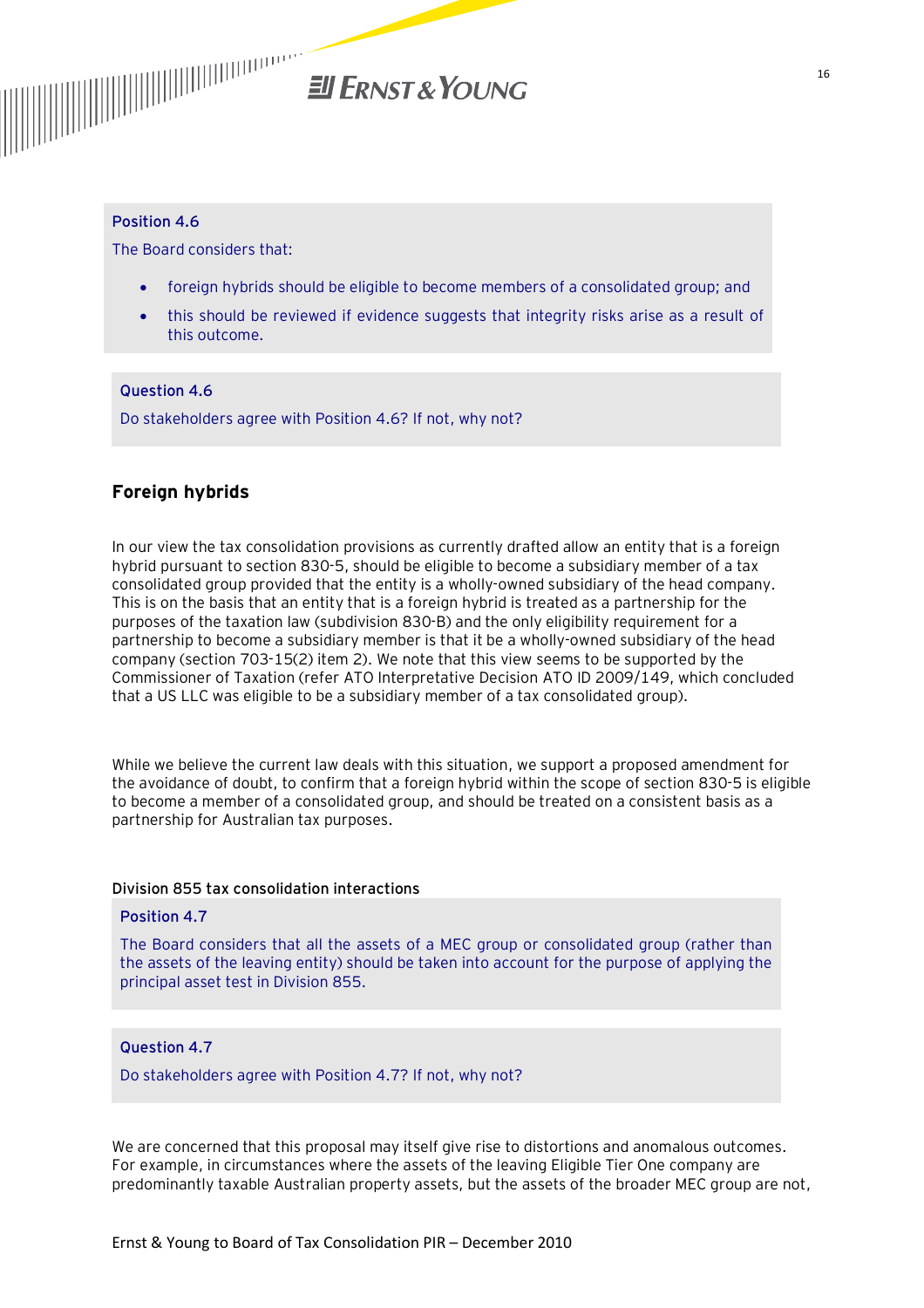

#### **Position 4.6**

The Board considers that:

- · foreign hybrids should be eligible to become members of a consolidated group; and
- · this should be reviewed if evidence suggests that integrity risks arise as a result of this outcome.

#### **Question 4.6**

Do stakeholders agree with Position 4.6? If not, why not?

#### **Foreign hybrids**

In our view the tax consolidation provisions as currently drafted allow an entity that is a foreign hybrid pursuant to section 830-5, should be eligible to become a subsidiary member of a tax consolidated group provided that the entity is a wholly-owned subsidiary of the head company. This is on the basis that an entity that is a foreign hybrid is treated as a partnership for the purposes of the taxation law (subdivision 830-B) and the only eligibility requirement for a partnership to become a subsidiary member is that it be a wholly-owned subsidiary of the head company (section 703-15(2) item 2). We note that this view seems to be supported by the Commissioner of Taxation (refer ATO Interpretative Decision ATO ID 2009/149, which concluded that a US LLC was eligible to be a subsidiary member of a tax consolidated group).

While we believe the current law deals with this situation, we support a proposed amendment for the avoidance of doubt, to confirm that a foreign hybrid within the scope of section 830-5 is eligible to become a member of a consolidated group, and should be treated on a consistent basis as a partnership for Australian tax purposes.

#### **Division 855 tax consolidation interactions**

#### **Position 4.7**

The Board considers that all the assets of a MEC group or consolidated group (rather than the assets of the leaving entity) should be taken into account for the purpose of applying the principal asset test in Division 855.

#### **Question 4.7**

Do stakeholders agree with Position 4.7? If not, why not?

We are concerned that this proposal may itself give rise to distortions and anomalous outcomes. For example, in circumstances where the assets of the leaving Eligible Tier One company are predominantly taxable Australian property assets, but the assets of the broader MEC group are not,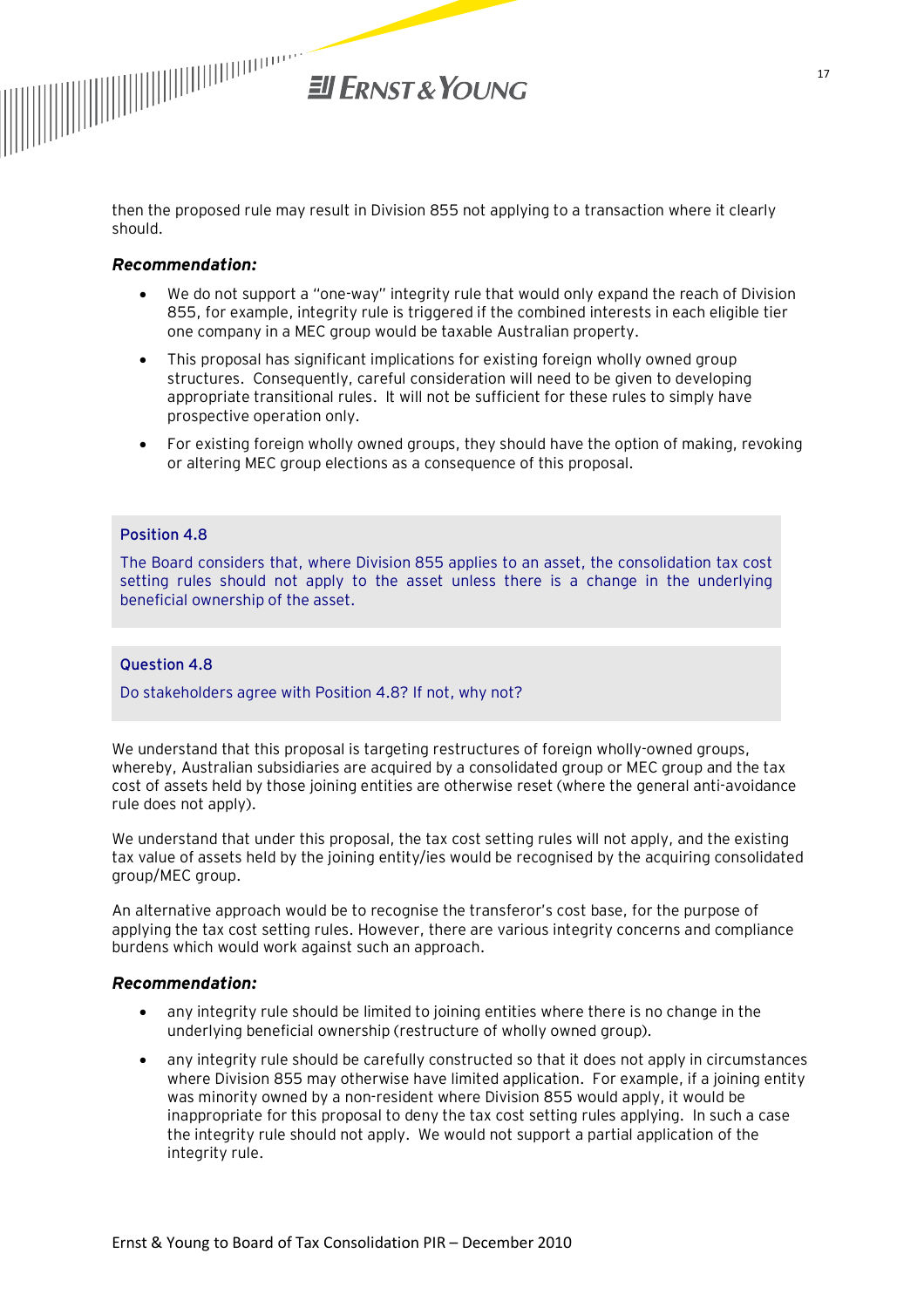

then the proposed rule may result in Division 855 not applying to a transaction where it clearly should.

#### *Recommendation:*

- · We do not support a "one-way" integrity rule that would only expand the reach of Division 855, for example, integrity rule is triggered if the combined interests in each eligible tier one company in a MEC group would be taxable Australian property.
- · This proposal has significant implications for existing foreign wholly owned group structures. Consequently, careful consideration will need to be given to developing appropriate transitional rules. It will not be sufficient for these rules to simply have prospective operation only.
- · For existing foreign wholly owned groups, they should have the option of making, revoking or altering MEC group elections as a consequence of this proposal.

#### **Position 4.8**

The Board considers that, where Division 855 applies to an asset, the consolidation tax cost setting rules should not apply to the asset unless there is a change in the underlying beneficial ownership of the asset.

#### **Question 4.8**

Do stakeholders agree with Position 4.8? If not, why not?

We understand that this proposal is targeting restructures of foreign wholly-owned groups, whereby, Australian subsidiaries are acquired by a consolidated group or MEC group and the tax cost of assets held by those joining entities are otherwise reset (where the general anti-avoidance rule does not apply).

We understand that under this proposal, the tax cost setting rules will not apply, and the existing tax value of assets held by the joining entity/ies would be recognised by the acquiring consolidated group/MEC group.

An alternative approach would be to recognise the transferor's cost base, for the purpose of applying the tax cost setting rules. However, there are various integrity concerns and compliance burdens which would work against such an approach.

#### *Recommendation:*

- · any integrity rule should be limited to joining entities where there is no change in the underlying beneficial ownership (restructure of wholly owned group).
- · any integrity rule should be carefully constructed so that it does not apply in circumstances where Division 855 may otherwise have limited application. For example, if a joining entity was minority owned by a non-resident where Division 855 would apply, it would be inappropriate for this proposal to deny the tax cost setting rules applying. In such a case the integrity rule should not apply. We would not support a partial application of the integrity rule.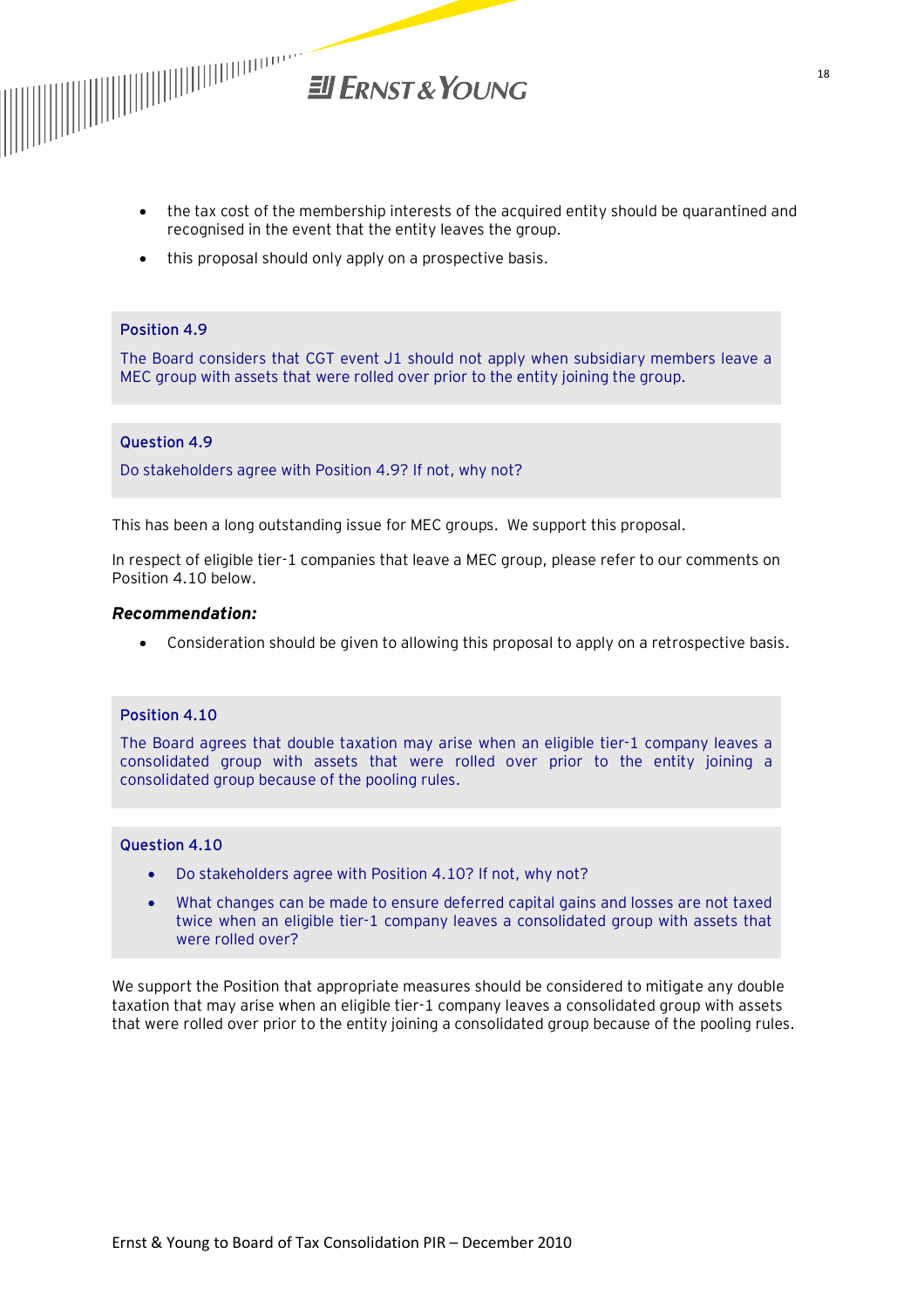

- · the tax cost of the membership interests of the acquired entity should be quarantined and recognised in the event that the entity leaves the group.
- · this proposal should only apply on a prospective basis.

#### **Position 4.9**

The Board considers that CGT event J1 should not apply when subsidiary members leave a MEC group with assets that were rolled over prior to the entity joining the group.

#### **Question 4.9**

Do stakeholders agree with Position 4.9? If not, why not?

This has been a long outstanding issue for MEC groups. We support this proposal.

In respect of eligible tier-1 companies that leave a MEC group, please refer to our comments on Position 4.10 below.

#### *Recommendation:*

· Consideration should be given to allowing this proposal to apply on a retrospective basis.

#### **Position 4.10**

The Board agrees that double taxation may arise when an eligible tier-1 company leaves a consolidated group with assets that were rolled over prior to the entity joining a consolidated group because of the pooling rules.

#### **Question 4.10**

- · Do stakeholders agree with Position 4.10? If not, why not?
- · What changes can be made to ensure deferred capital gains and losses are not taxed twice when an eligible tier-1 company leaves a consolidated group with assets that were rolled over?

We support the Position that appropriate measures should be considered to mitigate any double taxation that may arise when an eligible tier-1 company leaves a consolidated group with assets that were rolled over prior to the entity joining a consolidated group because of the pooling rules.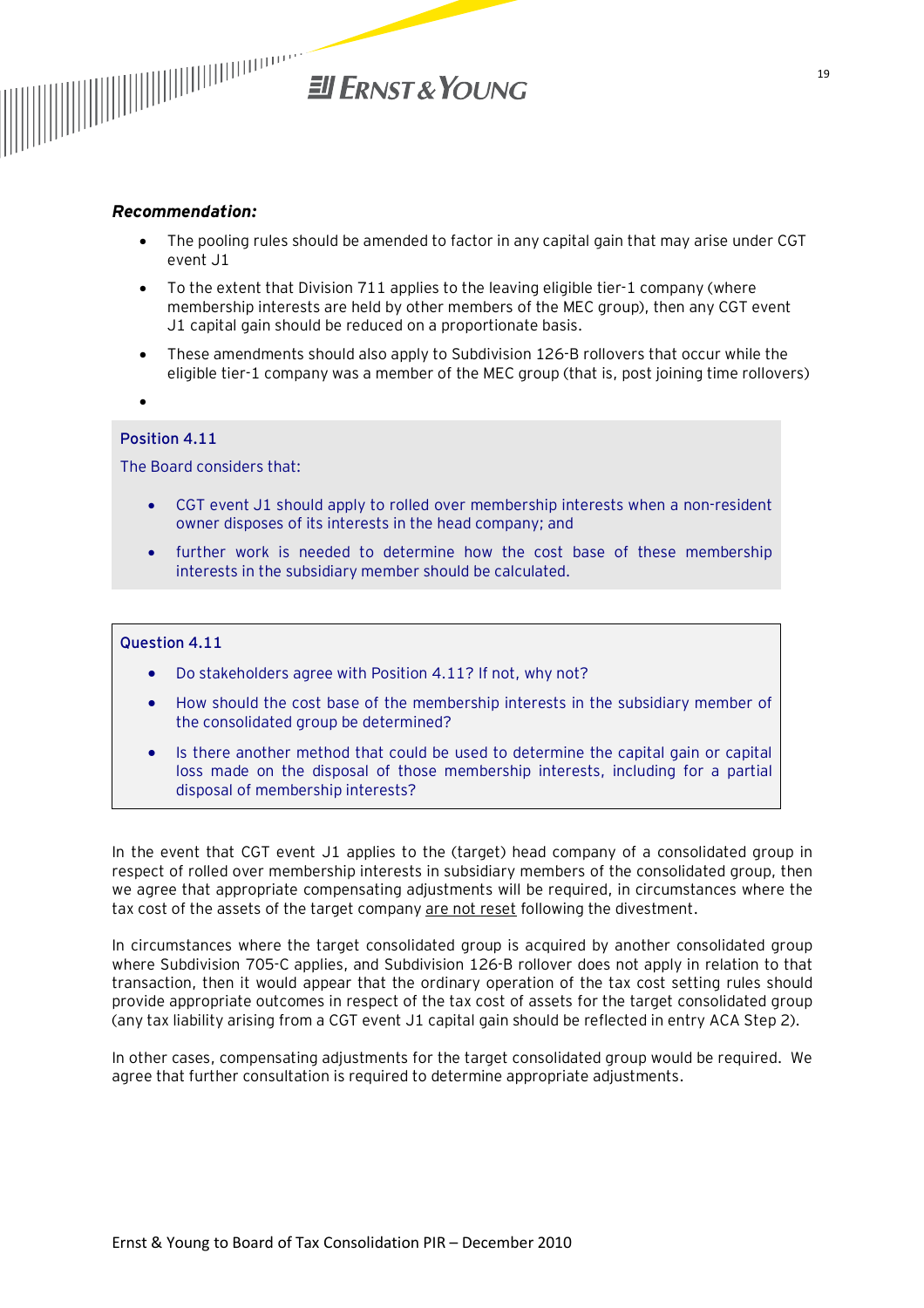

#### *Recommendation:*

- · The pooling rules should be amended to factor in any capital gain that may arise under CGT event J1
- · To the extent that Division 711 applies to the leaving eligible tier-1 company (where membership interests are held by other members of the MEC group), then any CGT event J1 capital gain should be reduced on a proportionate basis.
- · These amendments should also apply to Subdivision 126-B rollovers that occur while the eligible tier-1 company was a member of the MEC group (that is, post joining time rollovers)
- ·

#### **Position 4.11**

The Board considers that:

- · CGT event J1 should apply to rolled over membership interests when a non-resident owner disposes of its interests in the head company; and
- further work is needed to determine how the cost base of these membership interests in the subsidiary member should be calculated.

#### **Question 4.11**

- Do stakeholders agree with Position 4.11? If not, why not?
- · How should the cost base of the membership interests in the subsidiary member of the consolidated group be determined?
- Is there another method that could be used to determine the capital gain or capital loss made on the disposal of those membership interests, including for a partial disposal of membership interests?

In the event that CGT event J1 applies to the (target) head company of a consolidated group in respect of rolled over membership interests in subsidiary members of the consolidated group, then we agree that appropriate compensating adjustments will be required, in circumstances where the tax cost of the assets of the target company are not reset following the divestment.

In circumstances where the target consolidated group is acquired by another consolidated group where Subdivision 705-C applies, and Subdivision 126-B rollover does not apply in relation to that transaction, then it would appear that the ordinary operation of the tax cost setting rules should provide appropriate outcomes in respect of the tax cost of assets for the target consolidated group (any tax liability arising from a CGT event J1 capital gain should be reflected in entry ACA Step 2).

In other cases, compensating adjustments for the target consolidated group would be required. We agree that further consultation is required to determine appropriate adjustments.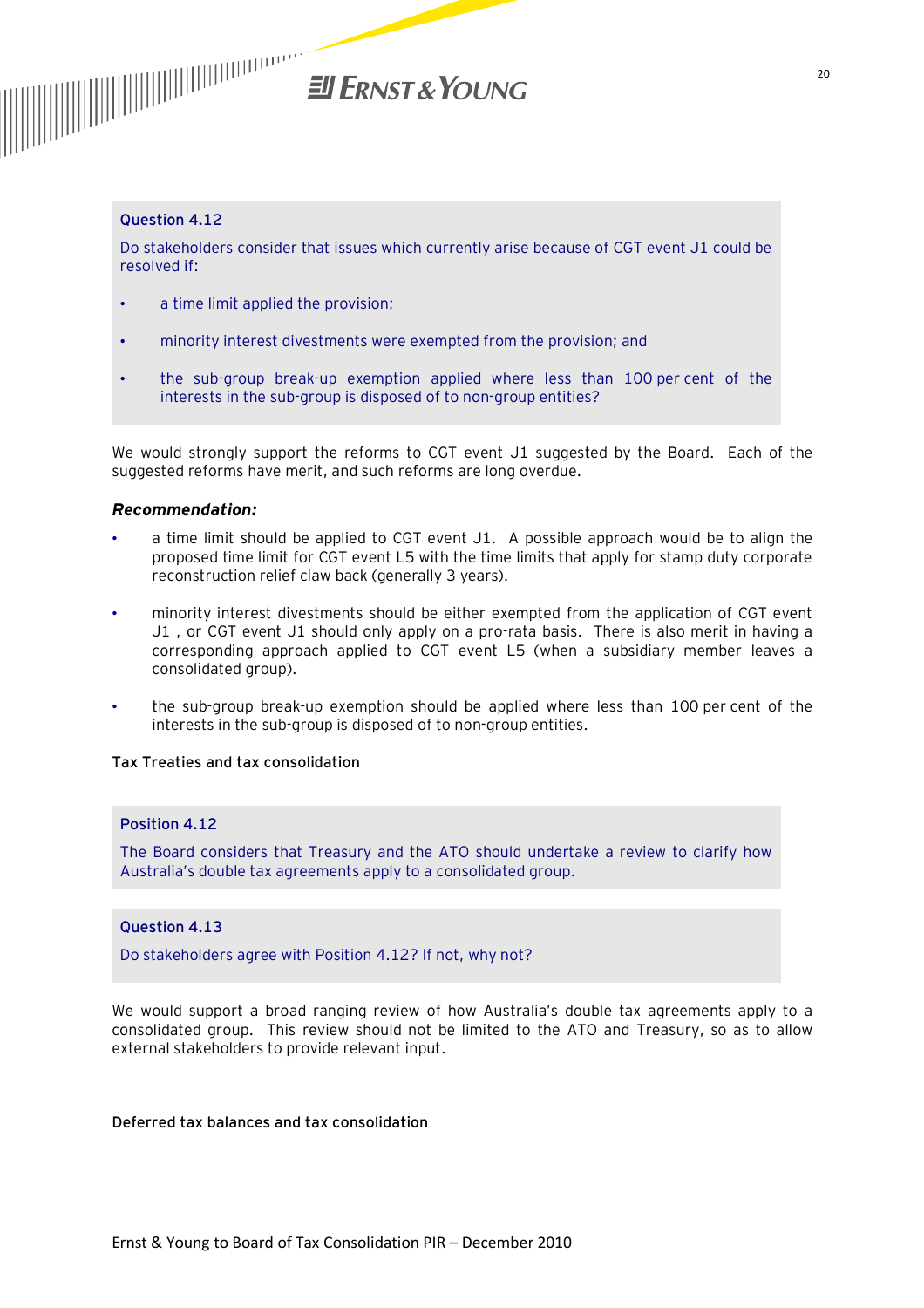

#### **Question 4.12**

Do stakeholders consider that issues which currently arise because of CGT event J1 could be resolved if:

- a time limit applied the provision;
- minority interest divestments were exempted from the provision; and
- the sub-group break-up exemption applied where less than 100 per cent of the interests in the sub-group is disposed of to non-group entities?

We would strongly support the reforms to CGT event J1 suggested by the Board. Each of the suggested reforms have merit, and such reforms are long overdue.

#### *Recommendation:*

- a time limit should be applied to CGT event J1. A possible approach would be to align the proposed time limit for CGT event L5 with the time limits that apply for stamp duty corporate reconstruction relief claw back (generally 3 years).
- minority interest divestments should be either exempted from the application of CGT event J1 , or CGT event J1 should only apply on a pro-rata basis. There is also merit in having a corresponding approach applied to CGT event L5 (when a subsidiary member leaves a consolidated group).
- the sub-group break-up exemption should be applied where less than 100 per cent of the interests in the sub-group is disposed of to non-group entities.

#### **Tax Treaties and tax consolidation**

#### **Position 4.12**

The Board considers that Treasury and the ATO should undertake a review to clarify how Australia's double tax agreements apply to a consolidated group.

#### **Question 4.13**

Do stakeholders agree with Position 4.12? If not, why not?

We would support a broad ranging review of how Australia's double tax agreements apply to a consolidated group. This review should not be limited to the ATO and Treasury, so as to allow external stakeholders to provide relevant input.

#### **Deferred tax balances and tax consolidation**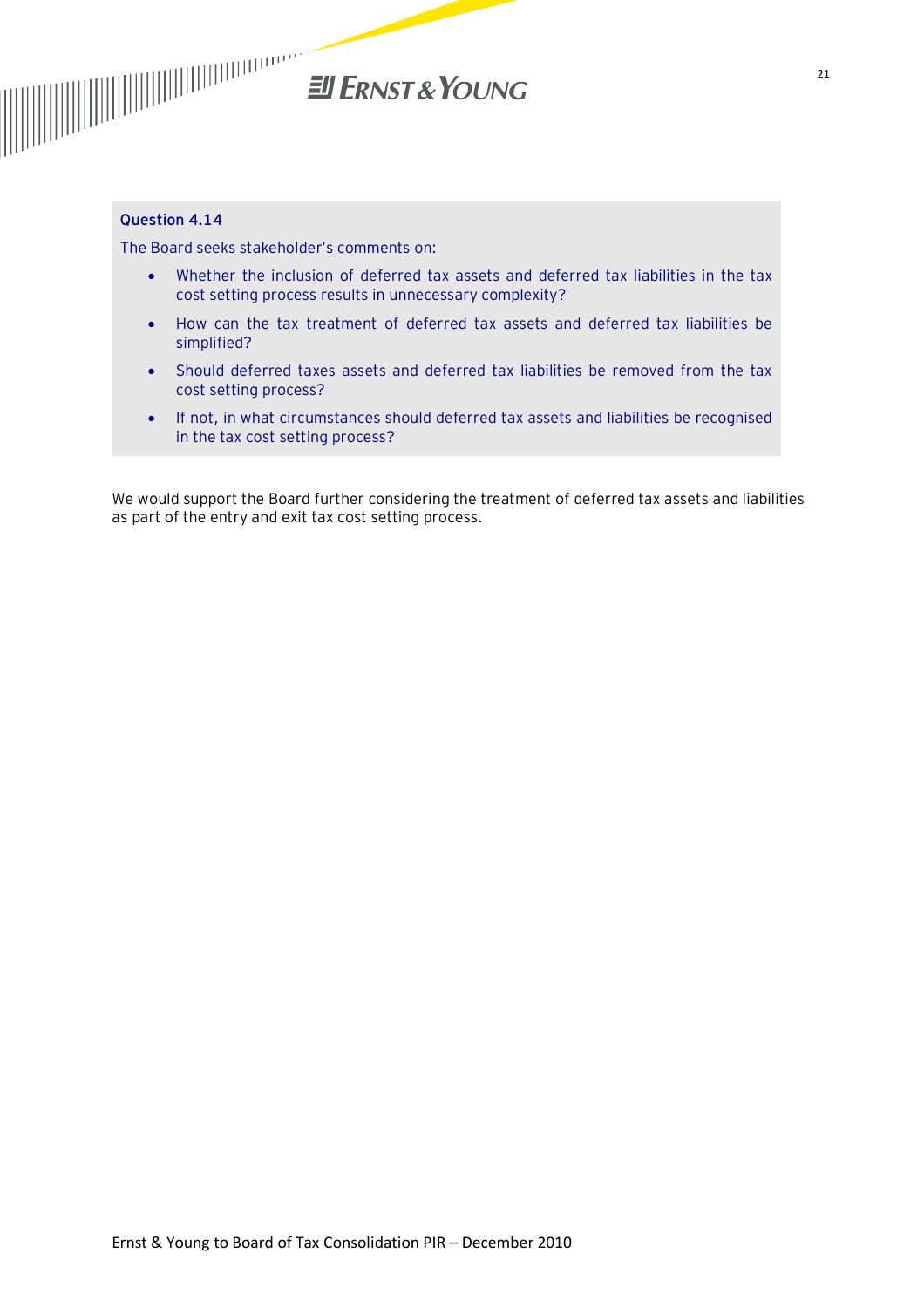

#### **Question 4.14**

The Board seeks stakeholder's comments on:

- · Whether the inclusion of deferred tax assets and deferred tax liabilities in the tax cost setting process results in unnecessary complexity?
- · How can the tax treatment of deferred tax assets and deferred tax liabilities be simplified?
- · Should deferred taxes assets and deferred tax liabilities be removed from the tax cost setting process?
- · If not, in what circumstances should deferred tax assets and liabilities be recognised in the tax cost setting process?

We would support the Board further considering the treatment of deferred tax assets and liabilities as part of the entry and exit tax cost setting process.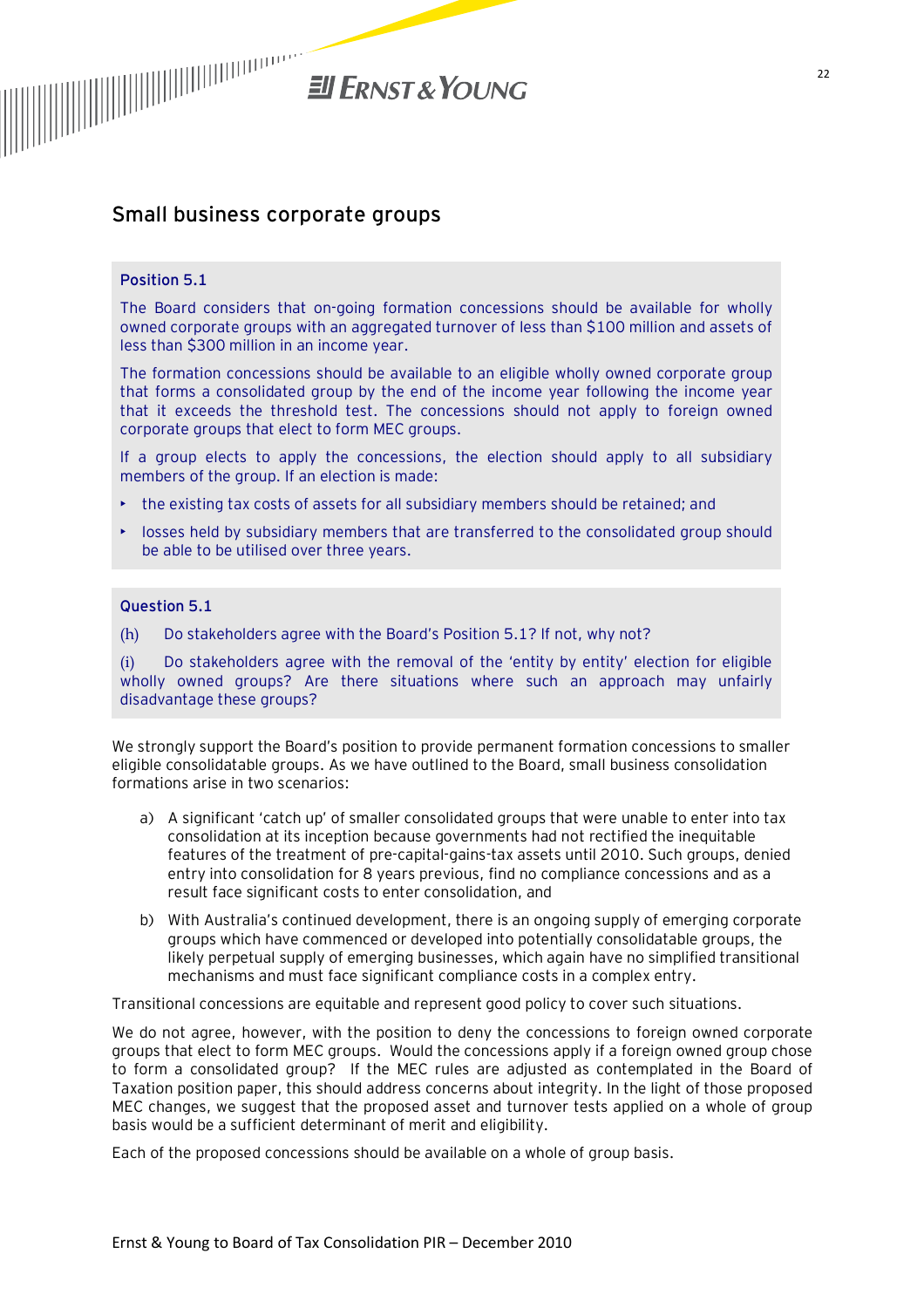

# **Small business corporate groups**

#### **Position 5.1**

The Board considers that on-going formation concessions should be available for wholly owned corporate groups with an aggregated turnover of less than \$100 million and assets of less than \$300 million in an income year.

The formation concessions should be available to an eligible wholly owned corporate group that forms a consolidated group by the end of the income year following the income year that it exceeds the threshold test. The concessions should not apply to foreign owned corporate groups that elect to form MEC groups.

If a group elects to apply the concessions, the election should apply to all subsidiary members of the group. If an election is made:

- the existing tax costs of assets for all subsidiary members should be retained; and
- losses held by subsidiary members that are transferred to the consolidated group should be able to be utilised over three years.

#### **Question 5.1**

(h) Do stakeholders agree with the Board's Position 5.1? If not, why not?

(i) Do stakeholders agree with the removal of the 'entity by entity' election for eligible wholly owned groups? Are there situations where such an approach may unfairly disadvantage these groups?

We strongly support the Board's position to provide permanent formation concessions to smaller eligible consolidatable groups. As we have outlined to the Board, small business consolidation formations arise in two scenarios:

- a) A significant 'catch up' of smaller consolidated groups that were unable to enter into tax consolidation at its inception because governments had not rectified the inequitable features of the treatment of pre-capital-gains-tax assets until 2010. Such groups, denied entry into consolidation for 8 years previous, find no compliance concessions and as a result face significant costs to enter consolidation, and
- b) With Australia's continued development, there is an ongoing supply of emerging corporate groups which have commenced or developed into potentially consolidatable groups, the likely perpetual supply of emerging businesses, which again have no simplified transitional mechanisms and must face significant compliance costs in a complex entry.

Transitional concessions are equitable and represent good policy to cover such situations.

We do not agree, however, with the position to deny the concessions to foreign owned corporate groups that elect to form MEC groups. Would the concessions apply if a foreign owned group chose to form a consolidated group? If the MEC rules are adjusted as contemplated in the Board of Taxation position paper, this should address concerns about integrity. In the light of those proposed MEC changes, we suggest that the proposed asset and turnover tests applied on a whole of group basis would be a sufficient determinant of merit and eligibility.

Each of the proposed concessions should be available on a whole of group basis.